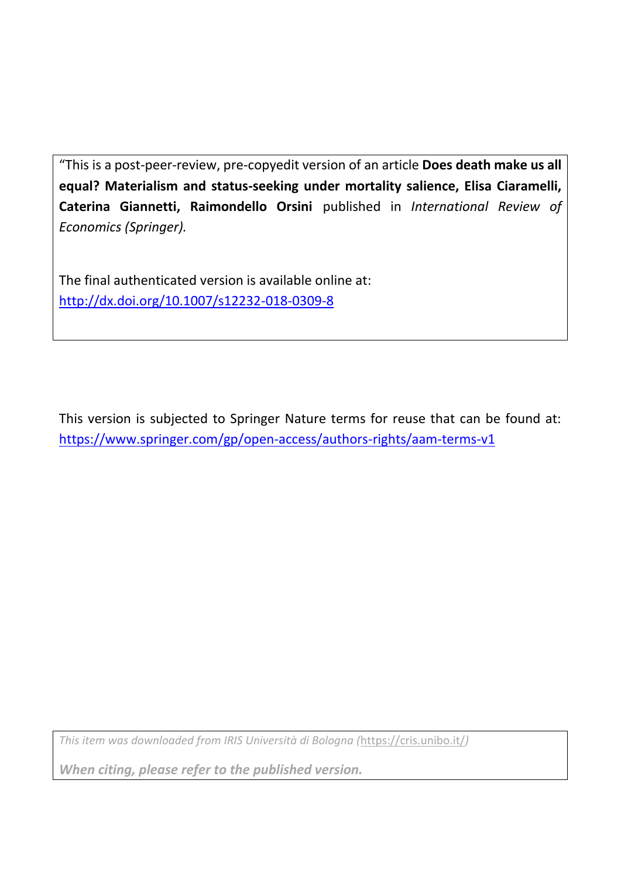"This is a post-peer-review, pre-copyedit version of an article **Does death make us all equal? Materialism and status-seeking under mortality salience, Elisa Ciaramelli, Caterina Giannetti, Raimondello Orsini** published in *International Review of Economics (Springer).* 

The final authenticated version is available online at: <http://dx.doi.org/10.1007/s12232-018-0309-8>

This version is subjected to Springer Nature terms for reuse that can be found at: https://www.springer.com/gp/open-access/authors-rights/aam-terms-v1

*This item was downloaded from IRIS Università di Bologna (*<https://cris.unibo.it/>*)*

*When citing, please refer to the published version.*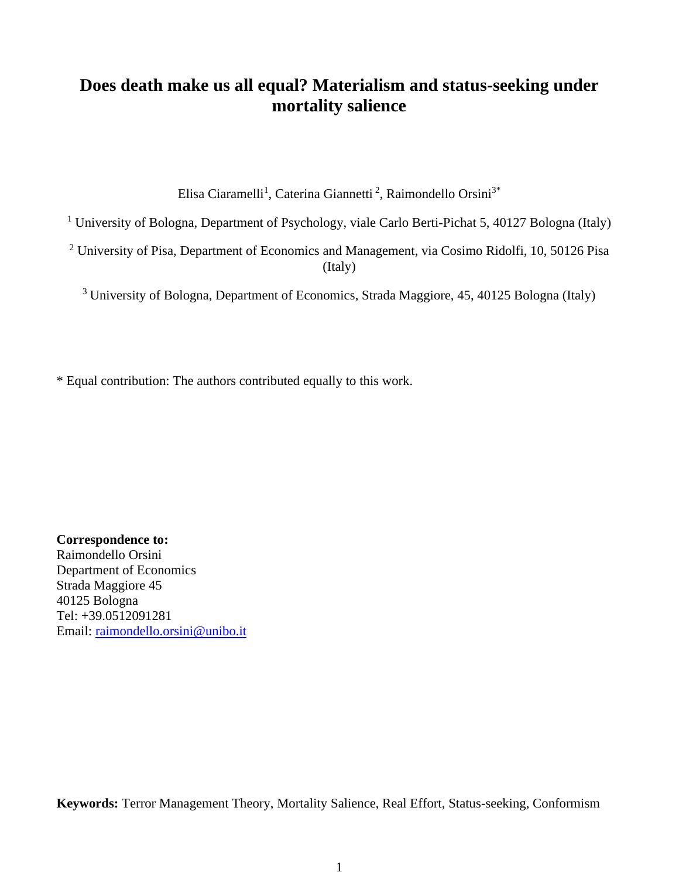# **Does death make us all equal? Materialism and status-seeking under mortality salience**

Elisa Ciaramelli<sup>1</sup>, Caterina Giannetti<sup>2</sup>, Raimondello Orsini<sup>3\*</sup>

<sup>1</sup> University of Bologna, Department of Psychology, viale Carlo Berti-Pichat 5, 40127 Bologna (Italy)

<sup>2</sup> University of Pisa, Department of Economics and Management, via Cosimo Ridolfi, 10, 50126 Pisa (Italy)

<sup>3</sup> University of Bologna, Department of Economics, Strada Maggiore, 45, 40125 Bologna (Italy)

\* Equal contribution: The authors contributed equally to this work.

**Correspondence to:**  Raimondello Orsini Department of Economics Strada Maggiore 45 40125 Bologna Tel: +39.0512091281 Email: [raimondello.orsini@unibo.it](mailto:raimondello.orsini@unibo.it)

**Keywords:** Terror Management Theory, Mortality Salience, Real Effort, Status-seeking, Conformism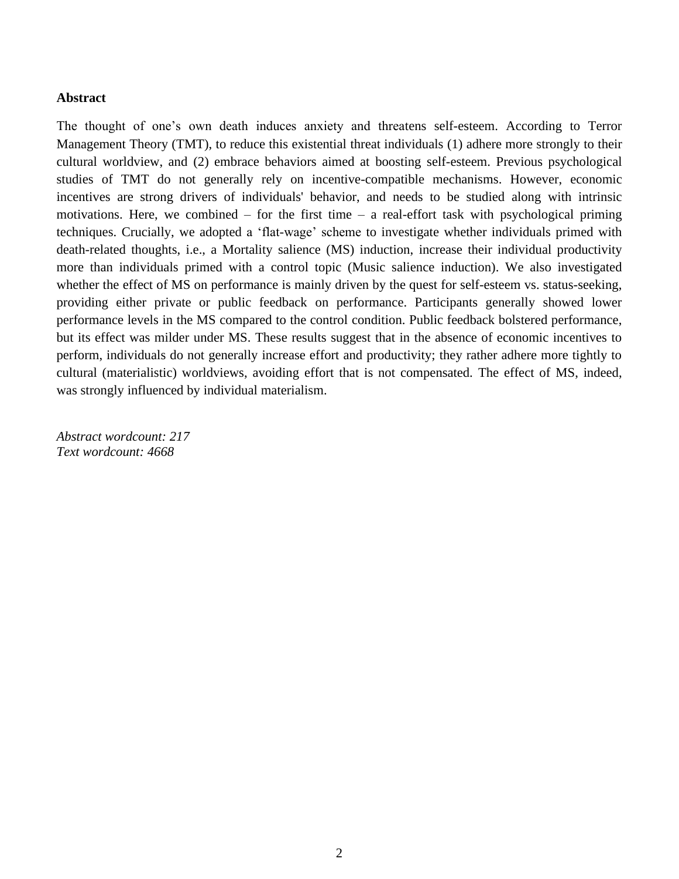# **Abstract**

The thought of one's own death induces anxiety and threatens self-esteem. According to Terror Management Theory (TMT), to reduce this existential threat individuals (1) adhere more strongly to their cultural worldview, and (2) embrace behaviors aimed at boosting self-esteem. Previous psychological studies of TMT do not generally rely on incentive-compatible mechanisms. However, economic incentives are strong drivers of individuals' behavior, and needs to be studied along with intrinsic motivations. Here, we combined – for the first time – a real-effort task with psychological priming techniques. Crucially, we adopted a 'flat-wage' scheme to investigate whether individuals primed with death-related thoughts, i.e., a Mortality salience (MS) induction, increase their individual productivity more than individuals primed with a control topic (Music salience induction). We also investigated whether the effect of MS on performance is mainly driven by the quest for self-esteem vs. status-seeking, providing either private or public feedback on performance. Participants generally showed lower performance levels in the MS compared to the control condition. Public feedback bolstered performance, but its effect was milder under MS. These results suggest that in the absence of economic incentives to perform, individuals do not generally increase effort and productivity; they rather adhere more tightly to cultural (materialistic) worldviews, avoiding effort that is not compensated. The effect of MS, indeed, was strongly influenced by individual materialism.

*Abstract wordcount: 217 Text wordcount: 4668*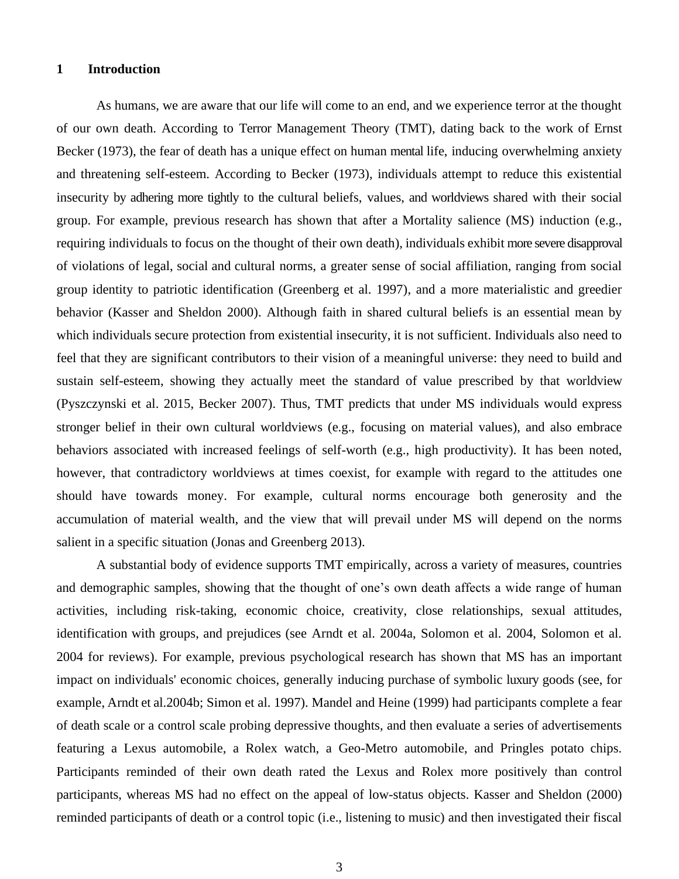#### **1 Introduction**

As humans, we are aware that our life will come to an end, and we experience terror at the thought of our own death. According to Terror Management Theory (TMT), dating back to the work of Ernst Becker (1973), the fear of death has a unique effect on human mental life, inducing overwhelming anxiety and threatening self-esteem. According to Becker (1973), individuals attempt to reduce this existential insecurity by adhering more tightly to the cultural beliefs, values, and worldviews shared with their social group. For example, previous research has shown that after a Mortality salience (MS) induction (e.g., requiring individuals to focus on the thought of their own death), individuals exhibit more severe disapproval of violations of legal, social and cultural norms, a greater sense of social affiliation, ranging from social group identity to patriotic identification (Greenberg et al. 1997), and a more materialistic and greedier behavior (Kasser and Sheldon 2000). Although faith in shared cultural beliefs is an essential mean by which individuals secure protection from existential insecurity, it is not sufficient. Individuals also need to feel that they are significant contributors to their vision of a meaningful universe: they need to build and sustain self-esteem, showing they actually meet the standard of value prescribed by that worldview (Pyszczynski et al. 2015, Becker 2007). Thus, TMT predicts that under MS individuals would express stronger belief in their own cultural worldviews (e.g., focusing on material values), and also embrace behaviors associated with increased feelings of self-worth (e.g., high productivity). It has been noted, however, that contradictory worldviews at times coexist, for example with regard to the attitudes one should have towards money. For example, cultural norms encourage both generosity and the accumulation of material wealth, and the view that will prevail under MS will depend on the norms salient in a specific situation (Jonas and Greenberg 2013).

A substantial body of evidence supports TMT empirically, across a variety of measures, countries and demographic samples, showing that the thought of one's own death affects a wide range of human activities, including risk-taking, economic choice, creativity, close relationships, sexual attitudes, identification with groups, and prejudices (see Arndt et al. 2004a, Solomon et al. 2004, Solomon et al. 2004 for reviews). For example, previous psychological research has shown that MS has an important impact on individuals' economic choices, generally inducing purchase of symbolic luxury goods (see, for example, Arndt et al.2004b; Simon et al. 1997). Mandel and Heine (1999) had participants complete a fear of death scale or a control scale probing depressive thoughts, and then evaluate a series of advertisements featuring a Lexus automobile, a Rolex watch, a Geo-Metro automobile, and Pringles potato chips. Participants reminded of their own death rated the Lexus and Rolex more positively than control participants, whereas MS had no effect on the appeal of low-status objects. Kasser and Sheldon (2000) reminded participants of death or a control topic (i.e., listening to music) and then investigated their fiscal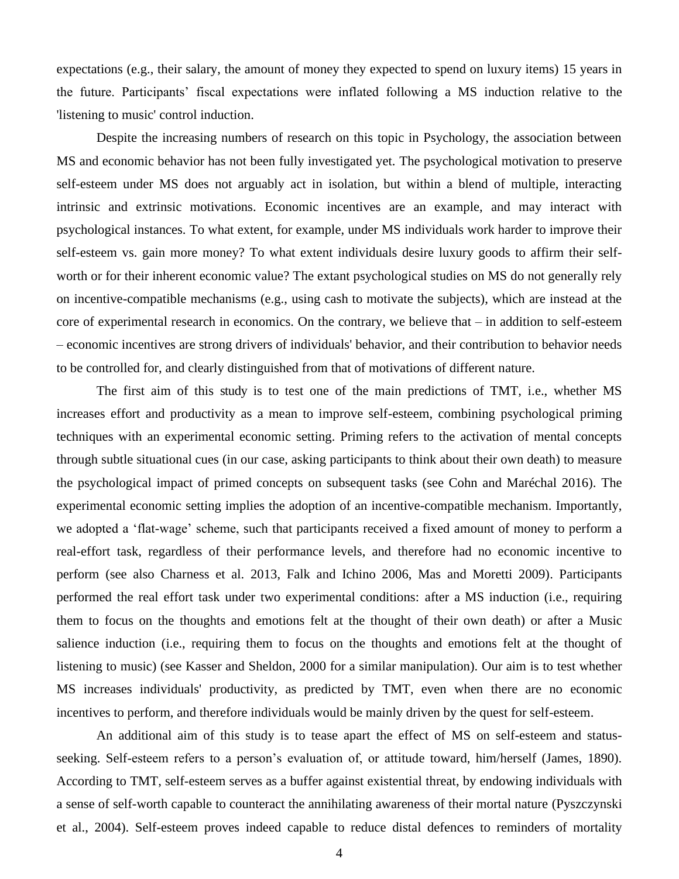expectations (e.g., their salary, the amount of money they expected to spend on luxury items) 15 years in the future. Participants' fiscal expectations were inflated following a MS induction relative to the 'listening to music' control induction.

Despite the increasing numbers of research on this topic in Psychology, the association between MS and economic behavior has not been fully investigated yet. The psychological motivation to preserve self-esteem under MS does not arguably act in isolation, but within a blend of multiple, interacting intrinsic and extrinsic motivations. Economic incentives are an example, and may interact with psychological instances. To what extent, for example, under MS individuals work harder to improve their self-esteem vs. gain more money? To what extent individuals desire luxury goods to affirm their selfworth or for their inherent economic value? The extant psychological studies on MS do not generally rely on incentive-compatible mechanisms (e.g., using cash to motivate the subjects), which are instead at the core of experimental research in economics. On the contrary, we believe that – in addition to self-esteem – economic incentives are strong drivers of individuals' behavior, and their contribution to behavior needs to be controlled for, and clearly distinguished from that of motivations of different nature.

The first aim of this study is to test one of the main predictions of TMT, i.e., whether MS increases effort and productivity as a mean to improve self-esteem, combining psychological priming techniques with an experimental economic setting. Priming refers to the activation of mental concepts through subtle situational cues (in our case, asking participants to think about their own death) to measure the psychological impact of primed concepts on subsequent tasks (see Cohn and Maréchal 2016). The experimental economic setting implies the adoption of an incentive-compatible mechanism. Importantly, we adopted a 'flat-wage' scheme, such that participants received a fixed amount of money to perform a real-effort task, regardless of their performance levels, and therefore had no economic incentive to perform (see also Charness et al. 2013, Falk and Ichino 2006, Mas and Moretti 2009). Participants performed the real effort task under two experimental conditions: after a MS induction (i.e., requiring them to focus on the thoughts and emotions felt at the thought of their own death) or after a Music salience induction (i.e., requiring them to focus on the thoughts and emotions felt at the thought of listening to music) (see Kasser and Sheldon, 2000 for a similar manipulation). Our aim is to test whether MS increases individuals' productivity, as predicted by TMT, even when there are no economic incentives to perform, and therefore individuals would be mainly driven by the quest for self-esteem.

An additional aim of this study is to tease apart the effect of MS on self-esteem and statusseeking. Self-esteem refers to a person's evaluation of, or attitude toward, him/herself (James, 1890). According to TMT, self-esteem serves as a buffer against existential threat, by endowing individuals with a sense of self-worth capable to counteract the annihilating awareness of their mortal nature (Pyszczynski et al., 2004). Self-esteem proves indeed capable to reduce distal defences to reminders of mortality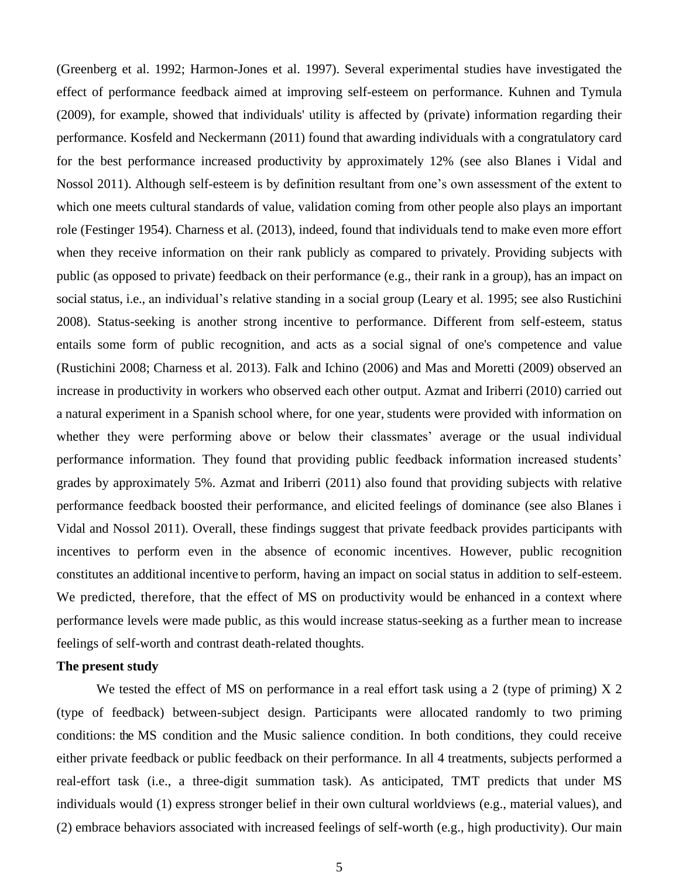(Greenberg et al. 1992; Harmon-Jones et al. 1997). Several experimental studies have investigated the effect of performance feedback aimed at improving self-esteem on performance. Kuhnen and Tymula (2009), for example, showed that individuals' utility is affected by (private) information regarding their performance. Kosfeld and Neckermann (2011) found that awarding individuals with a congratulatory card for the best performance increased productivity by approximately 12% (see also Blanes i Vidal and Nossol 2011). Although self-esteem is by definition resultant from one's own assessment of the extent to which one meets cultural standards of value, validation coming from other people also plays an important role (Festinger 1954). Charness et al. (2013), indeed, found that individuals tend to make even more effort when they receive information on their rank publicly as compared to privately. Providing subjects with public (as opposed to private) feedback on their performance (e.g., their rank in a group), has an impact on social status, i.e., an individual's relative standing in a social group (Leary et al. 1995; see also Rustichini 2008). Status-seeking is another strong incentive to performance. Different from self-esteem, status entails some form of public recognition, and acts as a social signal of one's competence and value (Rustichini 2008; Charness et al. 2013). Falk and Ichino (2006) and Mas and Moretti (2009) observed an increase in productivity in workers who observed each other output. Azmat and Iriberri (2010) carried out a natural experiment in a Spanish school where, for one year, students were provided with information on whether they were performing above or below their classmates' average or the usual individual performance information. They found that providing public feedback information increased students' grades by approximately 5%. Azmat and Iriberri (2011) also found that providing subjects with relative performance feedback boosted their performance, and elicited feelings of dominance (see also Blanes i Vidal and Nossol 2011). Overall, these findings suggest that private feedback provides participants with incentives to perform even in the absence of economic incentives. However, public recognition constitutes an additional incentive to perform, having an impact on social status in addition to self-esteem. We predicted, therefore, that the effect of MS on productivity would be enhanced in a context where performance levels were made public, as this would increase status-seeking as a further mean to increase feelings of self-worth and contrast death-related thoughts.

# **The present study**

We tested the effect of MS on performance in a real effort task using a 2 (type of priming)  $X$  2 (type of feedback) between-subject design. Participants were allocated randomly to two priming conditions: the MS condition and the Music salience condition. In both conditions, they could receive either private feedback or public feedback on their performance. In all 4 treatments, subjects performed a real-effort task (i.e., a three-digit summation task). As anticipated, TMT predicts that under MS individuals would (1) express stronger belief in their own cultural worldviews (e.g., material values), and (2) embrace behaviors associated with increased feelings of self-worth (e.g., high productivity). Our main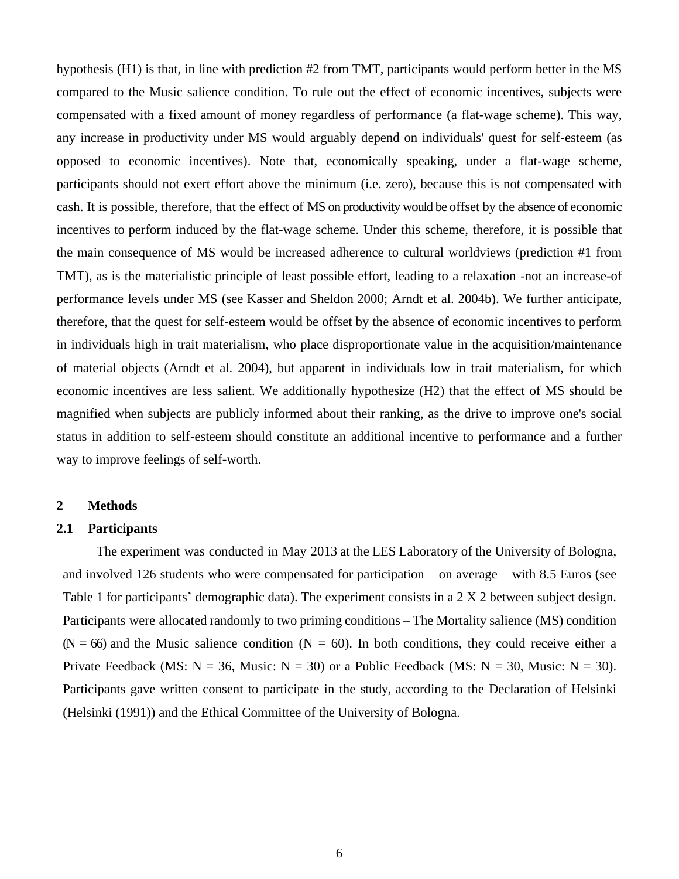hypothesis (H1) is that, in line with prediction #2 from TMT, participants would perform better in the MS compared to the Music salience condition. To rule out the effect of economic incentives, subjects were compensated with a fixed amount of money regardless of performance (a flat-wage scheme). This way, any increase in productivity under MS would arguably depend on individuals' quest for self-esteem (as opposed to economic incentives). Note that, economically speaking, under a flat-wage scheme, participants should not exert effort above the minimum (i.e. zero), because this is not compensated with cash. It is possible, therefore, that the effect of MS on productivity would be offset by the absence of economic incentives to perform induced by the flat-wage scheme. Under this scheme, therefore, it is possible that the main consequence of MS would be increased adherence to cultural worldviews (prediction #1 from TMT), as is the materialistic principle of least possible effort, leading to a relaxation -not an increase-of performance levels under MS (see Kasser and Sheldon 2000; Arndt et al. 2004b). We further anticipate, therefore, that the quest for self-esteem would be offset by the absence of economic incentives to perform in individuals high in trait materialism, who place disproportionate value in the acquisition/maintenance of material objects (Arndt et al. 2004), but apparent in individuals low in trait materialism, for which economic incentives are less salient. We additionally hypothesize (H2) that the effect of MS should be magnified when subjects are publicly informed about their ranking, as the drive to improve one's social status in addition to self-esteem should constitute an additional incentive to performance and a further way to improve feelings of self-worth.

#### **2 Methods**

## **2.1 Participants**

The experiment was conducted in May 2013 at the LES Laboratory of the University of Bologna, and involved 126 students who were compensated for participation – on average – with 8.5 Euros (see Table 1 for participants' demographic data). The experiment consists in a 2 X 2 between subject design. Participants were allocated randomly to two priming conditions – The Mortality salience (MS) condition  $(N = 66)$  and the Music salience condition  $(N = 60)$ . In both conditions, they could receive either a Private Feedback (MS:  $N = 36$ , Music:  $N = 30$ ) or a Public Feedback (MS:  $N = 30$ , Music:  $N = 30$ ). Participants gave written consent to participate in the study, according to the Declaration of Helsinki (Helsinki (1991)) and the Ethical Committee of the University of Bologna.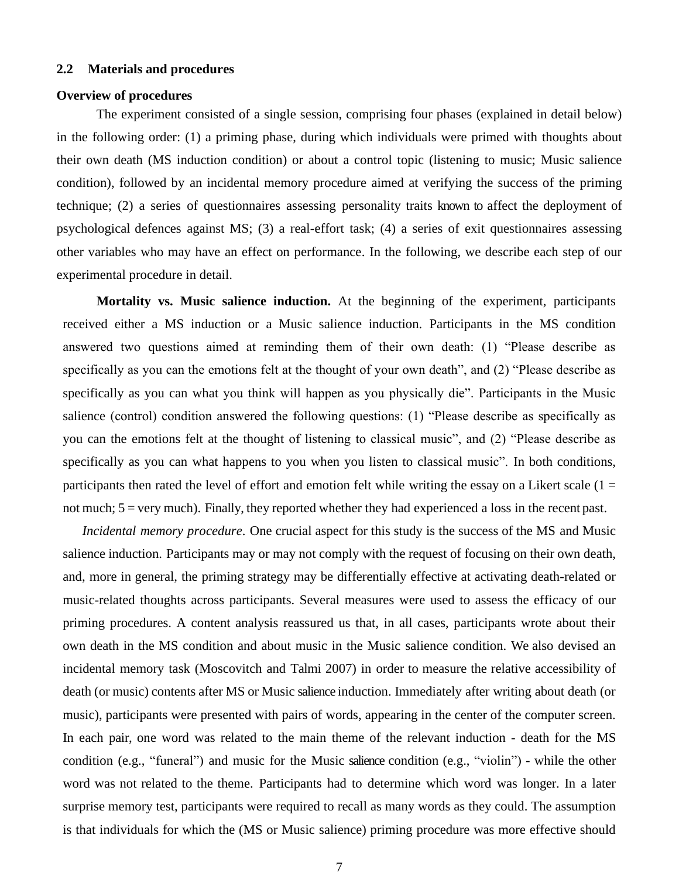#### **2.2 Materials and procedures**

#### **Overview of procedures**

The experiment consisted of a single session, comprising four phases (explained in detail below) in the following order: (1) a priming phase, during which individuals were primed with thoughts about their own death (MS induction condition) or about a control topic (listening to music; Music salience condition), followed by an incidental memory procedure aimed at verifying the success of the priming technique; (2) a series of questionnaires assessing personality traits known to affect the deployment of psychological defences against MS; (3) a real-effort task; (4) a series of exit questionnaires assessing other variables who may have an effect on performance. In the following, we describe each step of our experimental procedure in detail.

**Mortality vs. Music salience induction.** At the beginning of the experiment, participants received either a MS induction or a Music salience induction. Participants in the MS condition answered two questions aimed at reminding them of their own death: (1) "Please describe as specifically as you can the emotions felt at the thought of your own death", and (2) "Please describe as specifically as you can what you think will happen as you physically die". Participants in the Music salience (control) condition answered the following questions: (1) "Please describe as specifically as you can the emotions felt at the thought of listening to classical music", and (2) "Please describe as specifically as you can what happens to you when you listen to classical music". In both conditions, participants then rated the level of effort and emotion felt while writing the essay on a Likert scale  $(1 =$ not much; 5 = very much). Finally, they reported whether they had experienced a loss in the recent past.

*Incidental memory procedure*. One crucial aspect for this study is the success of the MS and Music salience induction. Participants may or may not comply with the request of focusing on their own death, and, more in general, the priming strategy may be differentially effective at activating death-related or music-related thoughts across participants. Several measures were used to assess the efficacy of our priming procedures. A content analysis reassured us that, in all cases, participants wrote about their own death in the MS condition and about music in the Music salience condition. We also devised an incidental memory task (Moscovitch and Talmi 2007) in order to measure the relative accessibility of death (or music) contents after MS or Music salience induction. Immediately after writing about death (or music), participants were presented with pairs of words, appearing in the center of the computer screen. In each pair, one word was related to the main theme of the relevant induction - death for the MS condition (e.g., "funeral") and music for the Music salience condition (e.g., "violin") - while the other word was not related to the theme. Participants had to determine which word was longer. In a later surprise memory test, participants were required to recall as many words as they could. The assumption is that individuals for which the (MS or Music salience) priming procedure was more effective should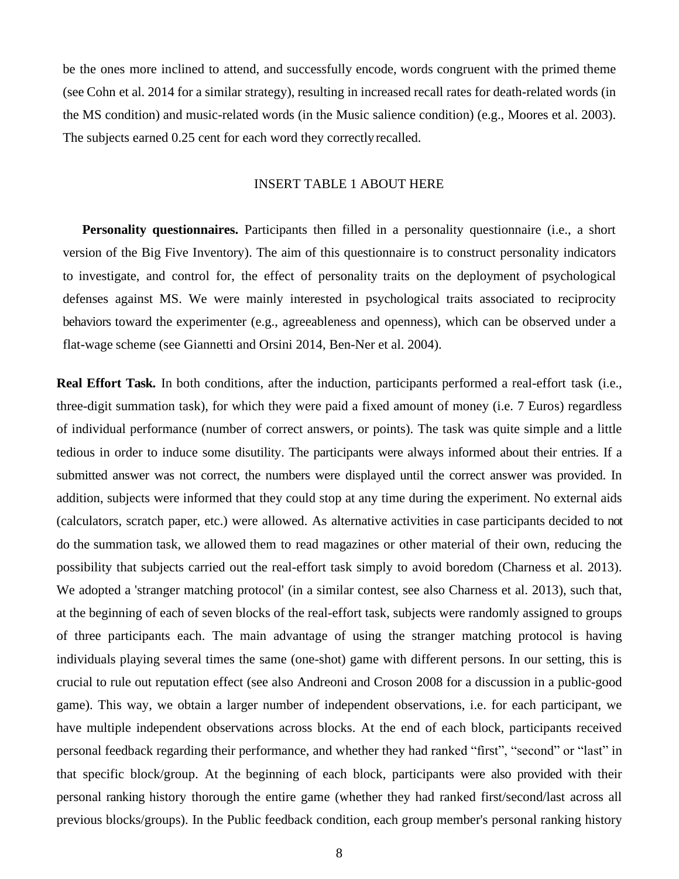be the ones more inclined to attend, and successfully encode, words congruent with the primed theme (see Cohn et al. 2014 for a similar strategy), resulting in increased recall rates for death-related words (in the MS condition) and music-related words (in the Music salience condition) (e.g., Moores et al. 2003). The subjects earned 0.25 cent for each word they correctly recalled.

# INSERT TABLE 1 ABOUT HERE

**Personality questionnaires.** Participants then filled in a personality questionnaire (i.e., a short version of the Big Five Inventory). The aim of this questionnaire is to construct personality indicators to investigate, and control for, the effect of personality traits on the deployment of psychological defenses against MS. We were mainly interested in psychological traits associated to reciprocity behaviors toward the experimenter (e.g., agreeableness and openness), which can be observed under a flat-wage scheme (see Giannetti and Orsini 2014, Ben-Ner et al. 2004).

**Real Effort Task.** In both conditions, after the induction, participants performed a real-effort task (i.e., three-digit summation task), for which they were paid a fixed amount of money (i.e. 7 Euros) regardless of individual performance (number of correct answers, or points). The task was quite simple and a little tedious in order to induce some disutility. The participants were always informed about their entries. If a submitted answer was not correct, the numbers were displayed until the correct answer was provided. In addition, subjects were informed that they could stop at any time during the experiment. No external aids (calculators, scratch paper, etc.) were allowed. As alternative activities in case participants decided to not do the summation task, we allowed them to read magazines or other material of their own, reducing the possibility that subjects carried out the real-effort task simply to avoid boredom (Charness et al. 2013). We adopted a 'stranger matching protocol' (in a similar contest, see also Charness et al. 2013), such that, at the beginning of each of seven blocks of the real-effort task, subjects were randomly assigned to groups of three participants each. The main advantage of using the stranger matching protocol is having individuals playing several times the same (one-shot) game with different persons. In our setting, this is crucial to rule out reputation effect (see also Andreoni and Croson 2008 for a discussion in a public-good game). This way, we obtain a larger number of independent observations, i.e. for each participant, we have multiple independent observations across blocks. At the end of each block, participants received personal feedback regarding their performance, and whether they had ranked "first", "second" or "last" in that specific block/group. At the beginning of each block, participants were also provided with their personal ranking history thorough the entire game (whether they had ranked first/second/last across all previous blocks/groups). In the Public feedback condition, each group member's personal ranking history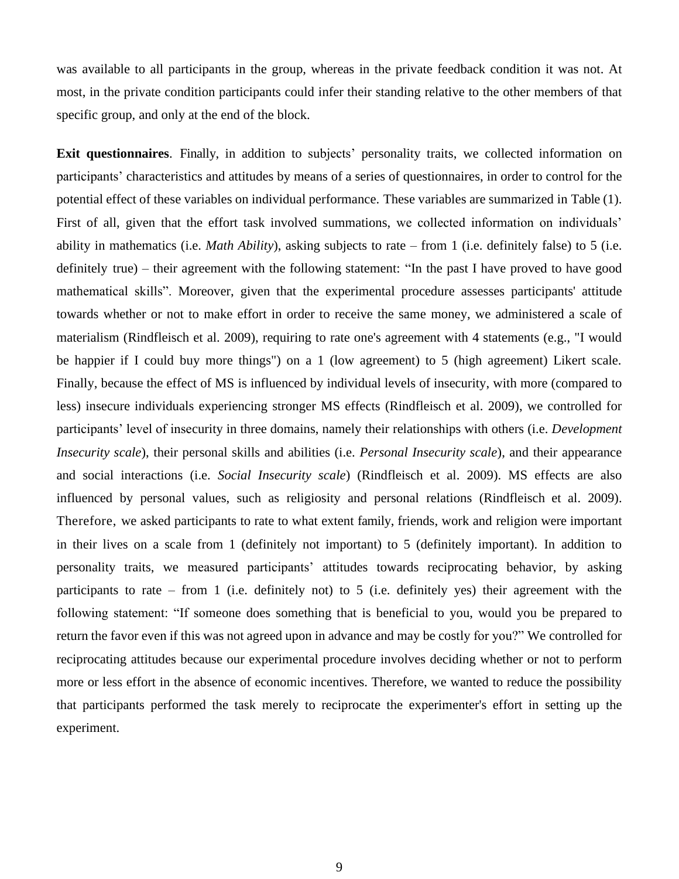was available to all participants in the group, whereas in the private feedback condition it was not. At most, in the private condition participants could infer their standing relative to the other members of that specific group, and only at the end of the block.

**Exit questionnaires**. Finally, in addition to subjects' personality traits, we collected information on participants' characteristics and attitudes by means of a series of questionnaires, in order to control for the potential effect of these variables on individual performance. These variables are summarized in Table (1). First of all, given that the effort task involved summations, we collected information on individuals' ability in mathematics (i.e. *Math Ability*), asking subjects to rate – from 1 (i.e. definitely false) to 5 (i.e. definitely true) – their agreement with the following statement: "In the past I have proved to have good mathematical skills". Moreover, given that the experimental procedure assesses participants' attitude towards whether or not to make effort in order to receive the same money, we administered a scale of materialism (Rindfleisch et al. 2009), requiring to rate one's agreement with 4 statements (e.g., "I would be happier if I could buy more things") on a 1 (low agreement) to 5 (high agreement) Likert scale. Finally, because the effect of MS is influenced by individual levels of insecurity, with more (compared to less) insecure individuals experiencing stronger MS effects (Rindfleisch et al. 2009), we controlled for participants' level of insecurity in three domains, namely their relationships with others (i.e. *Development Insecurity scale*), their personal skills and abilities (i.e. *Personal Insecurity scale*), and their appearance and social interactions (i.e. *Social Insecurity scale*) (Rindfleisch et al. 2009). MS effects are also influenced by personal values, such as religiosity and personal relations (Rindfleisch et al. 2009). Therefore, we asked participants to rate to what extent family, friends, work and religion were important in their lives on a scale from 1 (definitely not important) to 5 (definitely important). In addition to personality traits, we measured participants' attitudes towards reciprocating behavior, by asking participants to rate – from 1 (i.e. definitely not) to 5 (i.e. definitely yes) their agreement with the following statement: "If someone does something that is beneficial to you, would you be prepared to return the favor even if this was not agreed upon in advance and may be costly for you?" We controlled for reciprocating attitudes because our experimental procedure involves deciding whether or not to perform more or less effort in the absence of economic incentives. Therefore, we wanted to reduce the possibility that participants performed the task merely to reciprocate the experimenter's effort in setting up the experiment.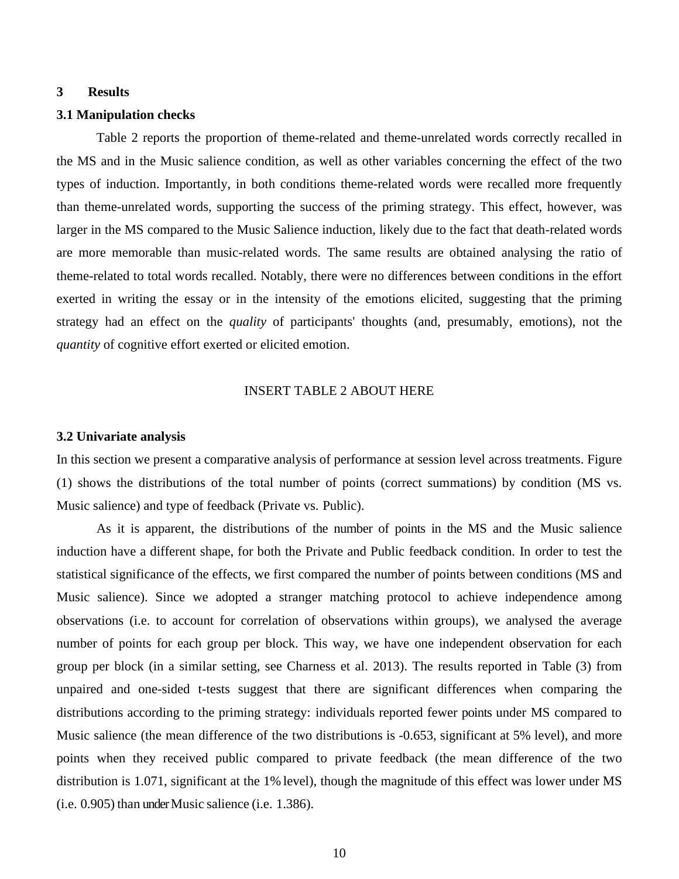## **3 Results**

#### **3.1 Manipulation checks**

Table 2 reports the proportion of theme-related and theme-unrelated words correctly recalled in the MS and in the Music salience condition, as well as other variables concerning the effect of the two types of induction. Importantly, in both conditions theme-related words were recalled more frequently than theme-unrelated words, supporting the success of the priming strategy. This effect, however, was larger in the MS compared to the Music Salience induction, likely due to the fact that death-related words are more memorable than music-related words. The same results are obtained analysing the ratio of theme-related to total words recalled. Notably, there were no differences between conditions in the effort exerted in writing the essay or in the intensity of the emotions elicited, suggesting that the priming strategy had an effect on the *quality* of participants' thoughts (and, presumably, emotions), not the *quantity* of cognitive effort exerted or elicited emotion.

# INSERT TABLE 2 ABOUT HERE

#### **3.2 Univariate analysis**

In this section we present a comparative analysis of performance at session level across treatments. Figure (1) shows the distributions of the total number of points (correct summations) by condition (MS vs. Music salience) and type of feedback (Private vs. Public).

As it is apparent, the distributions of the number of points in the MS and the Music salience induction have a different shape, for both the Private and Public feedback condition. In order to test the statistical significance of the effects, we first compared the number of points between conditions (MS and Music salience). Since we adopted a stranger matching protocol to achieve independence among observations (i.e. to account for correlation of observations within groups), we analysed the average number of points for each group per block. This way, we have one independent observation for each group per block (in a similar setting, see Charness et al. 2013). The results reported in Table (3) from unpaired and one-sided t-tests suggest that there are significant differences when comparing the distributions according to the priming strategy: individuals reported fewer points under MS compared to Music salience (the mean difference of the two distributions is -0.653, significant at 5% level), and more points when they received public compared to private feedback (the mean difference of the two distribution is 1.071, significant at the 1% level), though the magnitude of this effect was lower under MS (i.e. 0.905) than under Music salience (i.e. 1.386).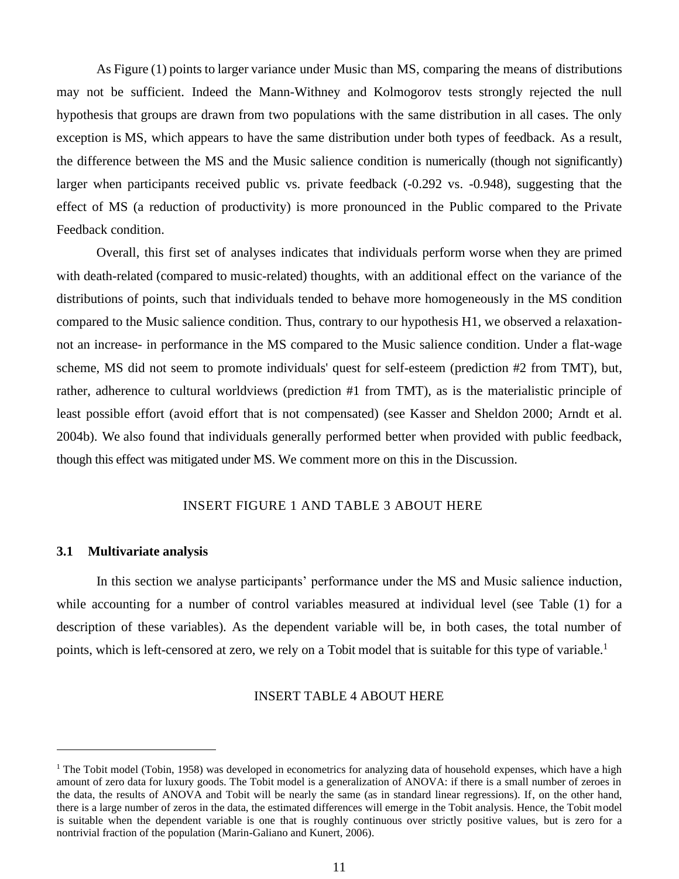As Figure (1) points to larger variance under Music than MS, comparing the means of distributions may not be sufficient. Indeed the Mann-Withney and Kolmogorov tests strongly rejected the null hypothesis that groups are drawn from two populations with the same distribution in all cases. The only exception is MS, which appears to have the same distribution under both types of feedback. As a result, the difference between the MS and the Music salience condition is numerically (though not significantly) larger when participants received public vs. private feedback (-0.292 vs. -0.948), suggesting that the effect of MS (a reduction of productivity) is more pronounced in the Public compared to the Private Feedback condition.

Overall, this first set of analyses indicates that individuals perform worse when they are primed with death-related (compared to music-related) thoughts, with an additional effect on the variance of the distributions of points, such that individuals tended to behave more homogeneously in the MS condition compared to the Music salience condition. Thus, contrary to our hypothesis H1, we observed a relaxationnot an increase- in performance in the MS compared to the Music salience condition. Under a flat-wage scheme, MS did not seem to promote individuals' quest for self-esteem (prediction #2 from TMT), but, rather, adherence to cultural worldviews (prediction #1 from TMT), as is the materialistic principle of least possible effort (avoid effort that is not compensated) (see Kasser and Sheldon 2000; Arndt et al. 2004b). We also found that individuals generally performed better when provided with public feedback, though this effect was mitigated under MS. We comment more on this in the Discussion.

# INSERT FIGURE 1 AND TABLE 3 ABOUT HERE

#### **3.1 Multivariate analysis**

In this section we analyse participants' performance under the MS and Music salience induction, while accounting for a number of control variables measured at individual level (see Table (1) for a description of these variables). As the dependent variable will be, in both cases, the total number of points, which is left-censored at zero, we rely on a Tobit model that is suitable for this type of variable.<sup>1</sup>

# INSERT TABLE 4 ABOUT HERE

<sup>&</sup>lt;sup>1</sup> The Tobit model (Tobin, 1958) was developed in econometrics for analyzing data of household expenses, which have a high amount of zero data for luxury goods. The Tobit model is a generalization of ANOVA: if there is a small number of zeroes in the data, the results of ANOVA and Tobit will be nearly the same (as in standard linear regressions). If, on the other hand, there is a large number of zeros in the data, the estimated differences will emerge in the Tobit analysis. Hence, the Tobit model is suitable when the dependent variable is one that is roughly continuous over strictly positive values, but is zero for a nontrivial fraction of the population (Marin-Galiano and Kunert, 2006).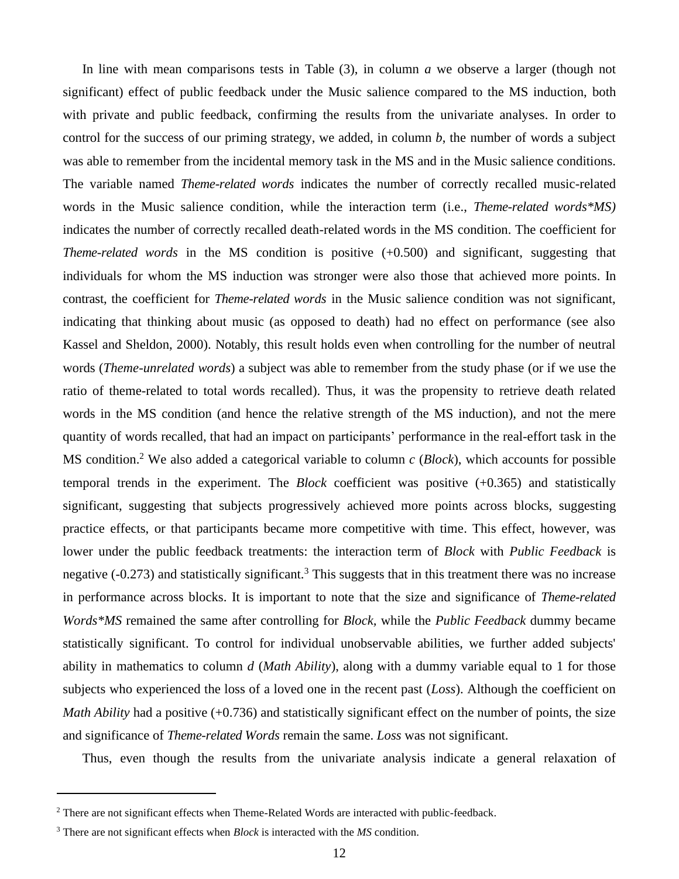In line with mean comparisons tests in Table (3), in column *a* we observe a larger (though not significant) effect of public feedback under the Music salience compared to the MS induction, both with private and public feedback, confirming the results from the univariate analyses. In order to control for the success of our priming strategy, we added, in column *b*, the number of words a subject was able to remember from the incidental memory task in the MS and in the Music salience conditions. The variable named *Theme-related words* indicates the number of correctly recalled music-related words in the Music salience condition, while the interaction term (i.e., *Theme-related words\*MS)* indicates the number of correctly recalled death-related words in the MS condition. The coefficient for *Theme-related words* in the MS condition is positive (+0.500) and significant, suggesting that individuals for whom the MS induction was stronger were also those that achieved more points. In contrast, the coefficient for *Theme-related words* in the Music salience condition was not significant, indicating that thinking about music (as opposed to death) had no effect on performance (see also Kassel and Sheldon, 2000). Notably, this result holds even when controlling for the number of neutral words (*Theme-unrelated words*) a subject was able to remember from the study phase (or if we use the ratio of theme-related to total words recalled). Thus, it was the propensity to retrieve death related words in the MS condition (and hence the relative strength of the MS induction), and not the mere quantity of words recalled, that had an impact on participants' performance in the real-effort task in the MS condition. <sup>2</sup> We also added a categorical variable to column *c* (*Block*), which accounts for possible temporal trends in the experiment. The *Block* coefficient was positive (+0.365) and statistically significant, suggesting that subjects progressively achieved more points across blocks, suggesting practice effects, or that participants became more competitive with time. This effect, however, was lower under the public feedback treatments: the interaction term of *Block* with *Public Feedback* is negative  $(-0.273)$  and statistically significant.<sup>3</sup> This suggests that in this treatment there was no increase in performance across blocks. It is important to note that the size and significance of *Theme-related Words\*MS* remained the same after controlling for *Block,* while the *Public Feedback* dummy became statistically significant. To control for individual unobservable abilities, we further added subjects' ability in mathematics to column *d* (*Math Ability*), along with a dummy variable equal to 1 for those subjects who experienced the loss of a loved one in the recent past (*Loss*). Although the coefficient on *Math Ability* had a positive (+0.736) and statistically significant effect on the number of points, the size and significance of *Theme-related Words* remain the same. *Loss* was not significant.

Thus, even though the results from the univariate analysis indicate a general relaxation of

<sup>&</sup>lt;sup>2</sup> There are not significant effects when Theme-Related Words are interacted with public-feedback.

<sup>3</sup> There are not significant effects when *Block* is interacted with the *MS* condition.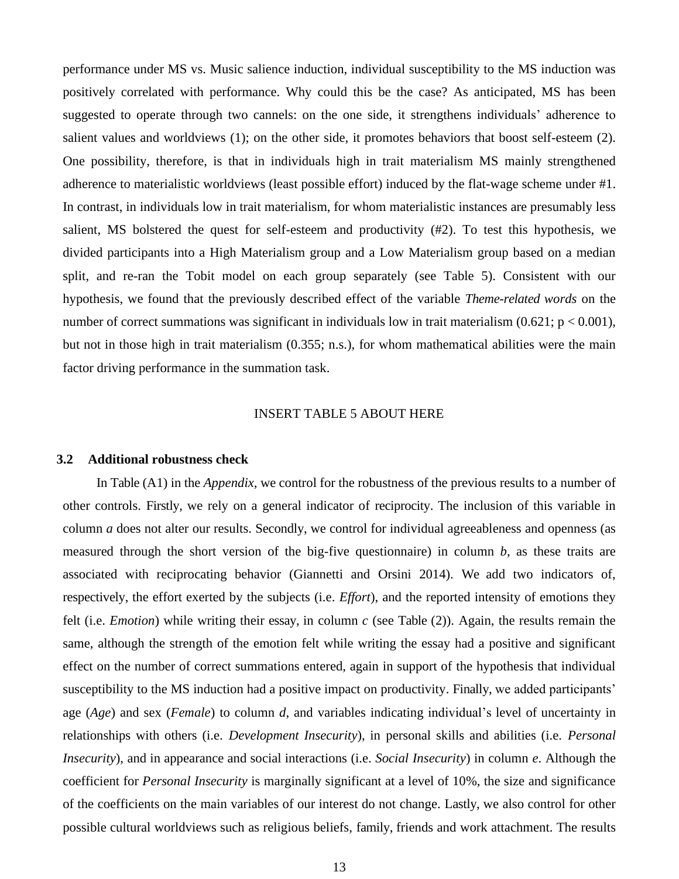performance under MS vs. Music salience induction, individual susceptibility to the MS induction was positively correlated with performance. Why could this be the case? As anticipated, MS has been suggested to operate through two cannels: on the one side, it strengthens individuals' adherence to salient values and worldviews (1); on the other side, it promotes behaviors that boost self-esteem (2). One possibility, therefore, is that in individuals high in trait materialism MS mainly strengthened adherence to materialistic worldviews (least possible effort) induced by the flat-wage scheme under #1. In contrast, in individuals low in trait materialism, for whom materialistic instances are presumably less salient, MS bolstered the quest for self-esteem and productivity (#2). To test this hypothesis, we divided participants into a High Materialism group and a Low Materialism group based on a median split, and re-ran the Tobit model on each group separately (see Table 5). Consistent with our hypothesis, we found that the previously described effect of the variable *Theme-related words* on the number of correct summations was significant in individuals low in trait materialism  $(0.621; p < 0.001)$ , but not in those high in trait materialism (0.355; n.s.), for whom mathematical abilities were the main factor driving performance in the summation task.

#### INSERT TABLE 5 ABOUT HERE

#### **3.2 Additional robustness check**

In Table (A1) in the *Appendix*, we control for the robustness of the previous results to a number of other controls. Firstly, we rely on a general indicator of reciprocity. The inclusion of this variable in column *a* does not alter our results. Secondly, we control for individual agreeableness and openness (as measured through the short version of the big-five questionnaire) in column *b*, as these traits are associated with reciprocating behavior (Giannetti and Orsini 2014). We add two indicators of, respectively, the effort exerted by the subjects (i.e. *Effort*), and the reported intensity of emotions they felt (i.e. *Emotion*) while writing their essay, in column *c* (see Table (2)). Again, the results remain the same, although the strength of the emotion felt while writing the essay had a positive and significant effect on the number of correct summations entered, again in support of the hypothesis that individual susceptibility to the MS induction had a positive impact on productivity. Finally, we added participants' age (*Age*) and sex (*Female*) to column *d*, and variables indicating individual's level of uncertainty in relationships with others (i.e. *Development Insecurity*), in personal skills and abilities (i.e. *Personal Insecurity*), and in appearance and social interactions (i.e. *Social Insecurity*) in column *e*. Although the coefficient for *Personal Insecurity* is marginally significant at a level of 10%, the size and significance of the coefficients on the main variables of our interest do not change. Lastly, we also control for other possible cultural worldviews such as religious beliefs, family, friends and work attachment. The results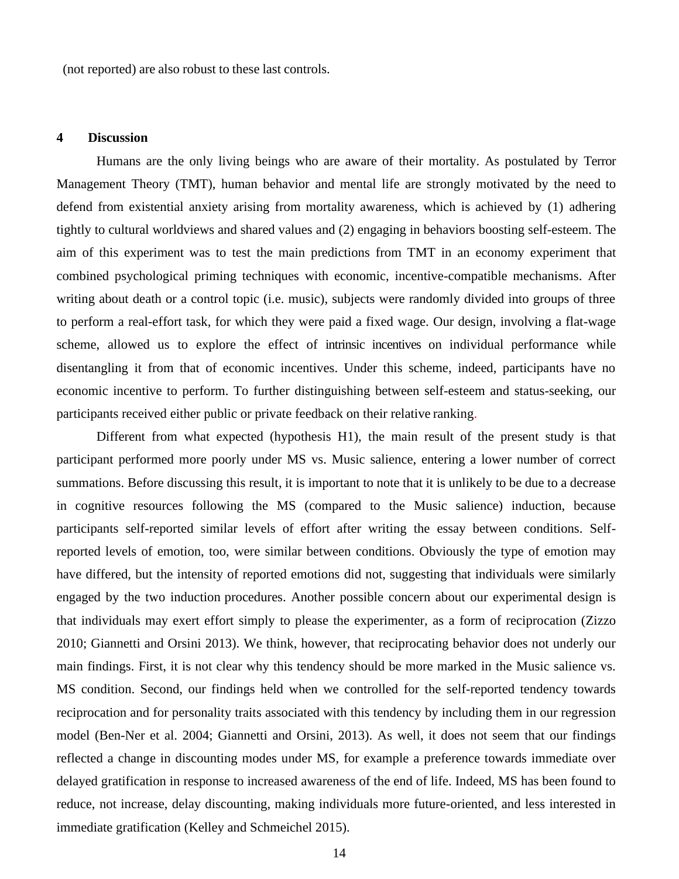(not reported) are also robust to these last controls.

#### **4 Discussion**

Humans are the only living beings who are aware of their mortality. As postulated by Terror Management Theory (TMT), human behavior and mental life are strongly motivated by the need to defend from existential anxiety arising from mortality awareness, which is achieved by (1) adhering tightly to cultural worldviews and shared values and (2) engaging in behaviors boosting self-esteem. The aim of this experiment was to test the main predictions from TMT in an economy experiment that combined psychological priming techniques with economic, incentive-compatible mechanisms. After writing about death or a control topic (i.e. music), subjects were randomly divided into groups of three to perform a real-effort task, for which they were paid a fixed wage. Our design, involving a flat-wage scheme, allowed us to explore the effect of intrinsic incentives on individual performance while disentangling it from that of economic incentives. Under this scheme, indeed, participants have no economic incentive to perform. To further distinguishing between self-esteem and status-seeking, our participants received either public or private feedback on their relative ranking.

Different from what expected (hypothesis H1), the main result of the present study is that participant performed more poorly under MS vs. Music salience, entering a lower number of correct summations. Before discussing this result, it is important to note that it is unlikely to be due to a decrease in cognitive resources following the MS (compared to the Music salience) induction, because participants self-reported similar levels of effort after writing the essay between conditions. Selfreported levels of emotion, too, were similar between conditions. Obviously the type of emotion may have differed, but the intensity of reported emotions did not, suggesting that individuals were similarly engaged by the two induction procedures. Another possible concern about our experimental design is that individuals may exert effort simply to please the experimenter, as a form of reciprocation (Zizzo 2010; Giannetti and Orsini 2013). We think, however, that reciprocating behavior does not underly our main findings. First, it is not clear why this tendency should be more marked in the Music salience vs. MS condition. Second, our findings held when we controlled for the self-reported tendency towards reciprocation and for personality traits associated with this tendency by including them in our regression model (Ben-Ner et al. 2004; Giannetti and Orsini, 2013). As well, it does not seem that our findings reflected a change in discounting modes under MS, for example a preference towards immediate over delayed gratification in response to increased awareness of the end of life. Indeed, MS has been found to reduce, not increase, delay discounting, making individuals more future-oriented, and less interested in immediate gratification (Kelley and Schmeichel 2015).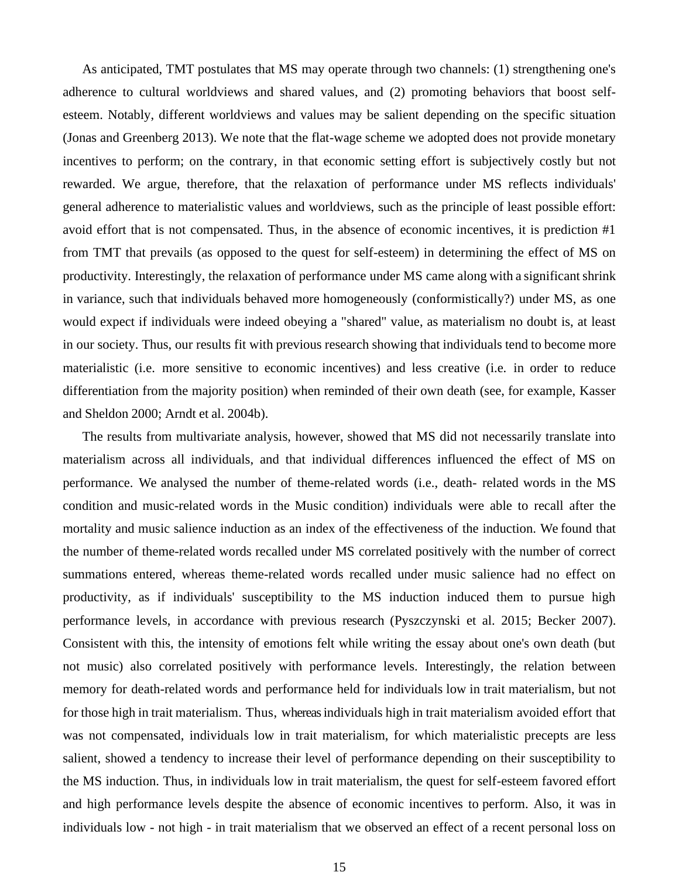As anticipated, TMT postulates that MS may operate through two channels: (1) strengthening one's adherence to cultural worldviews and shared values, and (2) promoting behaviors that boost selfesteem. Notably, different worldviews and values may be salient depending on the specific situation (Jonas and Greenberg 2013). We note that the flat-wage scheme we adopted does not provide monetary incentives to perform; on the contrary, in that economic setting effort is subjectively costly but not rewarded. We argue, therefore, that the relaxation of performance under MS reflects individuals' general adherence to materialistic values and worldviews, such as the principle of least possible effort: avoid effort that is not compensated. Thus, in the absence of economic incentives, it is prediction #1 from TMT that prevails (as opposed to the quest for self-esteem) in determining the effect of MS on productivity. Interestingly, the relaxation of performance under MS came along with a significantshrink in variance, such that individuals behaved more homogeneously (conformistically?) under MS, as one would expect if individuals were indeed obeying a "shared" value, as materialism no doubt is, at least in our society. Thus, our results fit with previous research showing that individuals tend to become more materialistic (i.e. more sensitive to economic incentives) and less creative (i.e. in order to reduce differentiation from the majority position) when reminded of their own death (see, for example, Kasser and Sheldon 2000; Arndt et al. 2004b).

The results from multivariate analysis, however, showed that MS did not necessarily translate into materialism across all individuals, and that individual differences influenced the effect of MS on performance. We analysed the number of theme-related words (i.e., death- related words in the MS condition and music-related words in the Music condition) individuals were able to recall after the mortality and music salience induction as an index of the effectiveness of the induction. We found that the number of theme-related words recalled under MS correlated positively with the number of correct summations entered, whereas theme-related words recalled under music salience had no effect on productivity, as if individuals' susceptibility to the MS induction induced them to pursue high performance levels, in accordance with previous research (Pyszczynski et al. 2015; Becker 2007). Consistent with this, the intensity of emotions felt while writing the essay about one's own death (but not music) also correlated positively with performance levels. Interestingly, the relation between memory for death-related words and performance held for individuals low in trait materialism, but not for those high in trait materialism. Thus, whereas individuals high in trait materialism avoided effort that was not compensated, individuals low in trait materialism, for which materialistic precepts are less salient, showed a tendency to increase their level of performance depending on their susceptibility to the MS induction. Thus, in individuals low in trait materialism, the quest for self-esteem favored effort and high performance levels despite the absence of economic incentives to perform. Also, it was in individuals low - not high - in trait materialism that we observed an effect of a recent personal loss on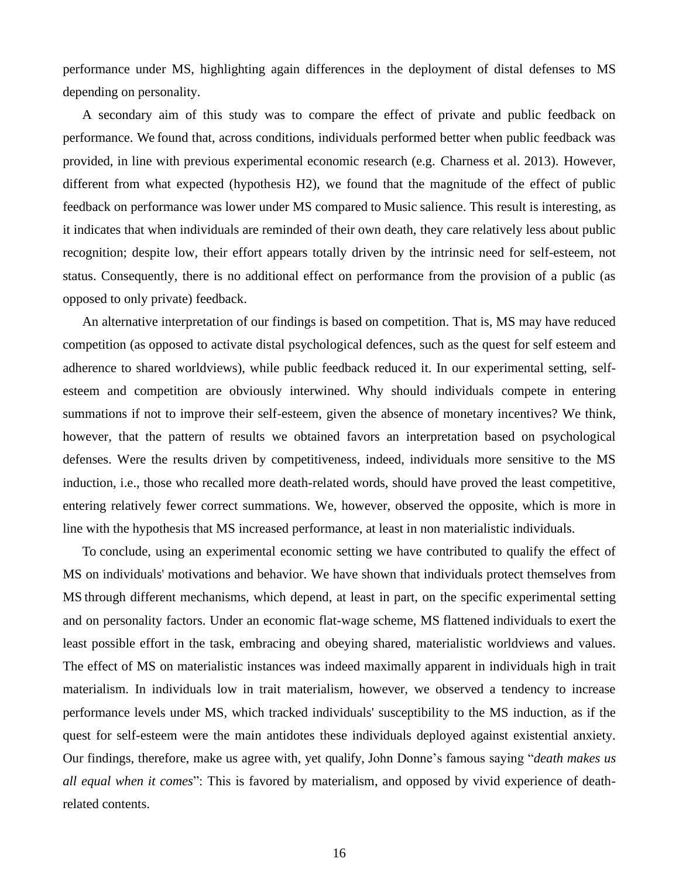performance under MS, highlighting again differences in the deployment of distal defenses to MS depending on personality.

A secondary aim of this study was to compare the effect of private and public feedback on performance. We found that, across conditions, individuals performed better when public feedback was provided, in line with previous experimental economic research (e.g. Charness et al. 2013). However, different from what expected (hypothesis H2), we found that the magnitude of the effect of public feedback on performance was lower under MS compared to Music salience. This result is interesting, as it indicates that when individuals are reminded of their own death, they care relatively less about public recognition; despite low, their effort appears totally driven by the intrinsic need for self-esteem, not status. Consequently, there is no additional effect on performance from the provision of a public (as opposed to only private) feedback.

An alternative interpretation of our findings is based on competition. That is, MS may have reduced competition (as opposed to activate distal psychological defences, such as the quest for self esteem and adherence to shared worldviews), while public feedback reduced it. In our experimental setting, selfesteem and competition are obviously interwined. Why should individuals compete in entering summations if not to improve their self-esteem, given the absence of monetary incentives? We think, however, that the pattern of results we obtained favors an interpretation based on psychological defenses. Were the results driven by competitiveness, indeed, individuals more sensitive to the MS induction, i.e., those who recalled more death-related words, should have proved the least competitive, entering relatively fewer correct summations. We, however, observed the opposite, which is more in line with the hypothesis that MS increased performance, at least in non materialistic individuals.

To conclude, using an experimental economic setting we have contributed to qualify the effect of MS on individuals' motivations and behavior. We have shown that individuals protect themselves from MS through different mechanisms, which depend, at least in part, on the specific experimental setting and on personality factors. Under an economic flat-wage scheme, MS flattened individuals to exert the least possible effort in the task, embracing and obeying shared, materialistic worldviews and values. The effect of MS on materialistic instances was indeed maximally apparent in individuals high in trait materialism. In individuals low in trait materialism, however, we observed a tendency to increase performance levels under MS, which tracked individuals' susceptibility to the MS induction, as if the quest for self-esteem were the main antidotes these individuals deployed against existential anxiety. Our findings, therefore, make us agree with, yet qualify, John Donne's famous saying "*death makes us all equal when it comes*": This is favored by materialism, and opposed by vivid experience of deathrelated contents.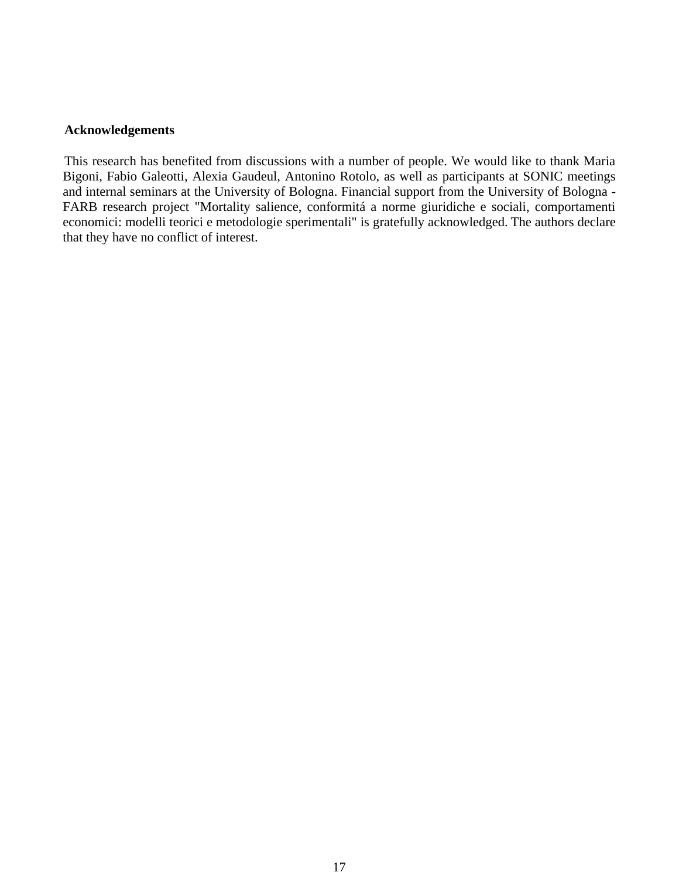# **Acknowledgements**

This research has benefited from discussions with a number of people. We would like to thank Maria Bigoni, Fabio Galeotti, Alexia Gaudeul, Antonino Rotolo, as well as participants at SONIC meetings and internal seminars at the University of Bologna. Financial support from the University of Bologna - FARB research project "Mortality salience, conformitá a norme giuridiche e sociali, comportamenti economici: modelli teorici e metodologie sperimentali" is gratefully acknowledged. The authors declare that they have no conflict of interest.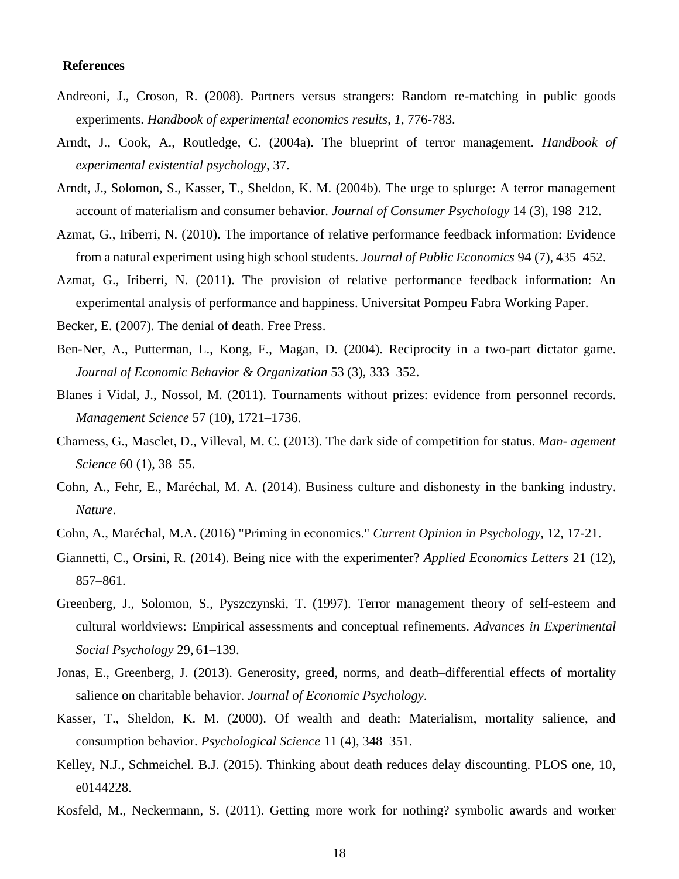#### **References**

- Andreoni, J., Croson, R. (2008). Partners versus strangers: Random re-matching in public goods experiments. *Handbook of experimental economics results*, *1*, 776-783.
- Arndt, J., Cook, A., Routledge, C. (2004a). The blueprint of terror management. *Handbook of experimental existential psychology*, 37.
- Arndt, J., Solomon, S., Kasser, T., Sheldon, K. M. (2004b). The urge to splurge: A terror management account of materialism and consumer behavior. *Journal of Consumer Psychology* 14 (3), 198–212.
- Azmat, G., Iriberri, N. (2010). The importance of relative performance feedback information: Evidence from a natural experiment using high school students. *Journal of Public Economics* 94 (7), 435–452.
- Azmat, G., Iriberri, N. (2011). The provision of relative performance feedback information: An experimental analysis of performance and happiness. Universitat Pompeu Fabra Working Paper.

Becker, E. (2007). The denial of death. Free Press.

- Ben-Ner, A., Putterman, L., Kong, F., Magan, D. (2004). Reciprocity in a two-part dictator game. *Journal of Economic Behavior & Organization* 53 (3), 333–352.
- Blanes i Vidal, J., Nossol, M. (2011). Tournaments without prizes: evidence from personnel records. *Management Science* 57 (10), 1721–1736.
- Charness, G., Masclet, D., Villeval, M. C. (2013). The dark side of competition for status. *Man- agement Science* 60 (1), 38–55.
- Cohn, A., Fehr, E., Maréchal, M. A. (2014). Business culture and dishonesty in the banking industry. *Nature*.
- Cohn, A., Maréchal, M.A. (2016) "Priming in economics." *Current Opinion in Psychology,* 12, 17-21.
- Giannetti, C., Orsini, R. (2014). Being nice with the experimenter? *Applied Economics Letters* 21 (12), 857–861.
- Greenberg, J., Solomon, S., Pyszczynski, T. (1997). Terror management theory of self-esteem and cultural worldviews: Empirical assessments and conceptual refinements. *Advances in Experimental Social Psychology* 29, 61–139.
- Jonas, E., Greenberg, J. (2013). Generosity, greed, norms, and death–differential effects of mortality salience on charitable behavior. *Journal of Economic Psychology*.
- Kasser, T., Sheldon, K. M. (2000). Of wealth and death: Materialism, mortality salience, and consumption behavior. *Psychological Science* 11 (4), 348–351.
- Kelley, N.J., Schmeichel. B.J. (2015). Thinking about death reduces delay discounting. PLOS one, 10, e0144228.
- Kosfeld, M., Neckermann, S. (2011). Getting more work for nothing? symbolic awards and worker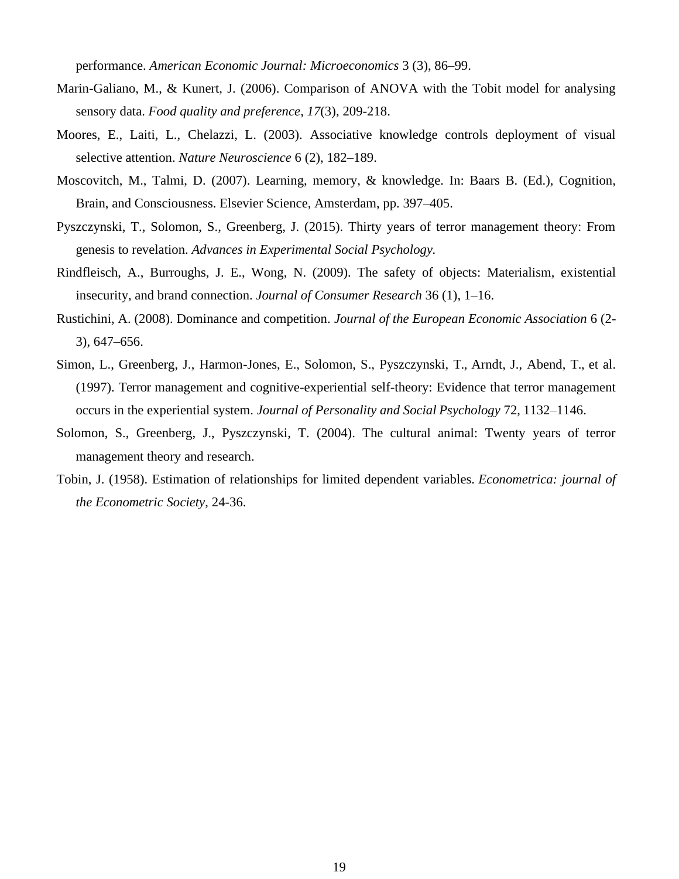performance. *American Economic Journal: Microeconomics* 3 (3), 86–99.

- Marin-Galiano, M., & Kunert, J. (2006). Comparison of ANOVA with the Tobit model for analysing sensory data. *Food quality and preference*, *17*(3), 209-218.
- Moores, E., Laiti, L., Chelazzi, L. (2003). Associative knowledge controls deployment of visual selective attention. *Nature Neuroscience* 6 (2), 182–189.
- Moscovitch, M., Talmi, D. (2007). Learning, memory, & knowledge. In: Baars B. (Ed.), Cognition, Brain, and Consciousness. Elsevier Science, Amsterdam, pp. 397–405.
- Pyszczynski, T., Solomon, S., Greenberg, J. (2015). Thirty years of terror management theory: From genesis to revelation. *Advances in Experimental Social Psychology.*
- Rindfleisch, A., Burroughs, J. E., Wong, N. (2009). The safety of objects: Materialism, existential insecurity, and brand connection. *Journal of Consumer Research* 36 (1), 1–16.
- Rustichini, A. (2008). Dominance and competition. *Journal of the European Economic Association* 6 (2- 3), 647–656.
- Simon, L., Greenberg, J., Harmon-Jones, E., Solomon, S., Pyszczynski, T., Arndt, J., Abend, T., et al. (1997). Terror management and cognitive-experiential self-theory: Evidence that terror management occurs in the experiential system. *Journal of Personality and Social Psychology* 72, 1132–1146.
- Solomon, S., Greenberg, J., Pyszczynski, T. (2004). The cultural animal: Twenty years of terror management theory and research.
- Tobin, J. (1958). Estimation of relationships for limited dependent variables. *Econometrica: journal of the Econometric Society*, 24-36.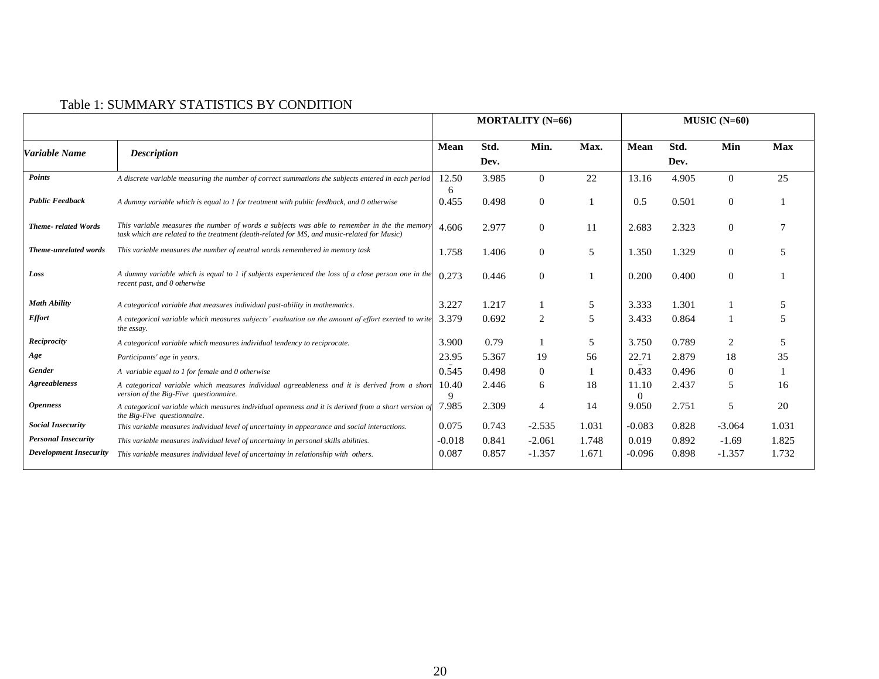| Table 1: SUMMARY STATISTICS BY CONDITION |
|------------------------------------------|
|------------------------------------------|

|                               |                                                                                                                                                                                            |            |              | <b>MORTALITY (N=66)</b> |       | $MUSIC$ (N=60)    |              |                  |            |
|-------------------------------|--------------------------------------------------------------------------------------------------------------------------------------------------------------------------------------------|------------|--------------|-------------------------|-------|-------------------|--------------|------------------|------------|
| Variable Name                 | <b>Description</b>                                                                                                                                                                         | Mean       | Std.<br>Dev. | Min.                    | Max.  | Mean              | Std.<br>Dev. | Min              | <b>Max</b> |
| Points                        | A discrete variable measuring the number of correct summations the subjects entered in each period                                                                                         | 12.50<br>6 | 3.985        | $\Omega$                | 22    | 13.16             | 4.905        | $\theta$         | 25         |
| <b>Public Feedback</b>        | A dummy variable which is equal to 1 for treatment with public feedback, and 0 otherwise                                                                                                   | 0.455      | 0.498        | $\mathbf{0}$            |       | 0.5               | 0.501        | $\boldsymbol{0}$ |            |
| Theme-related Words           | This variable measures the number of words a subjects was able to remember in the the memor<br>task which are related to the treatment (death-related for MS, and music-related for Music) | 4.606      | 2.977        | $\overline{0}$          | 11    | 2.683             | 2.323        | $\theta$         | 7          |
| Theme-unrelated words         | This variable measures the number of neutral words remembered in memory task                                                                                                               | 1.758      | 1.406        | $\Omega$                | 5     | 1.350             | 1.329        | $\theta$         | 5          |
| Loss                          | A dummy variable which is equal to 1 if subjects experienced the loss of a close person one in the<br>recent past, and 0 otherwise                                                         | 0.273      | 0.446        | $\overline{0}$          |       | 0.200             | 0.400        | $\theta$         |            |
| <b>Math Ability</b>           | A categorical variable that measures individual past-ability in mathematics.                                                                                                               | 3.227      | 1.217        |                         | 5     | 3.333             | 1.301        |                  | 5          |
| <b>Effort</b>                 | A categorical variable which measures subjects' evaluation on the amount of effort exerted to write<br>the essay.                                                                          | 3.379      | 0.692        | 2                       | 5     | 3.433             | 0.864        |                  | 5          |
| Reciprocity                   | A categorical variable which measures individual tendency to reciprocate.                                                                                                                  | 3.900      | 0.79         |                         | 5     | 3.750             | 0.789        | 2                | 5          |
| Age                           | Participants' age in years.                                                                                                                                                                | 23.95      | 5.367        | 19                      | 56    | 22.71             | 2.879        | 18               | 35         |
| <b>Gender</b>                 | A variable equal to 1 for female and 0 otherwise                                                                                                                                           | 0.545      | 0.498        | $\Omega$                |       | 0.433             | 0.496        | $\theta$         |            |
| Agreeableness                 | A categorical variable which measures individual agreeableness and it is derived from a short<br>version of the Big-Five questionnaire.                                                    | 10.40<br>9 | 2.446        | 6                       | 18    | 11.10<br>$\Omega$ | 2.437        | 5                | 16         |
| <i><b>Openness</b></i>        | A categorical variable which measures individual openness and it is derived from a short version $o_i$<br>the Big-Five questionnaire.                                                      | 7.985      | 2.309        | 4                       | 14    | 9.050             | 2.751        | 5                | 20         |
| <b>Social Insecurity</b>      | This variable measures individual level of uncertainty in appearance and social interactions.                                                                                              | 0.075      | 0.743        | $-2.535$                | 1.031 | $-0.083$          | 0.828        | $-3.064$         | 1.031      |
| <b>Personal Insecurity</b>    | This variable measures individual level of uncertainty in personal skills abilities.                                                                                                       | $-0.018$   | 0.841        | $-2.061$                | 1.748 | 0.019             | 0.892        | $-1.69$          | 1.825      |
| <b>Development Insecurity</b> | This variable measures individual level of uncertainty in relationship with others.                                                                                                        | 0.087      | 0.857        | $-1.357$                | 1.671 | $-0.096$          | 0.898        | $-1.357$         | 1.732      |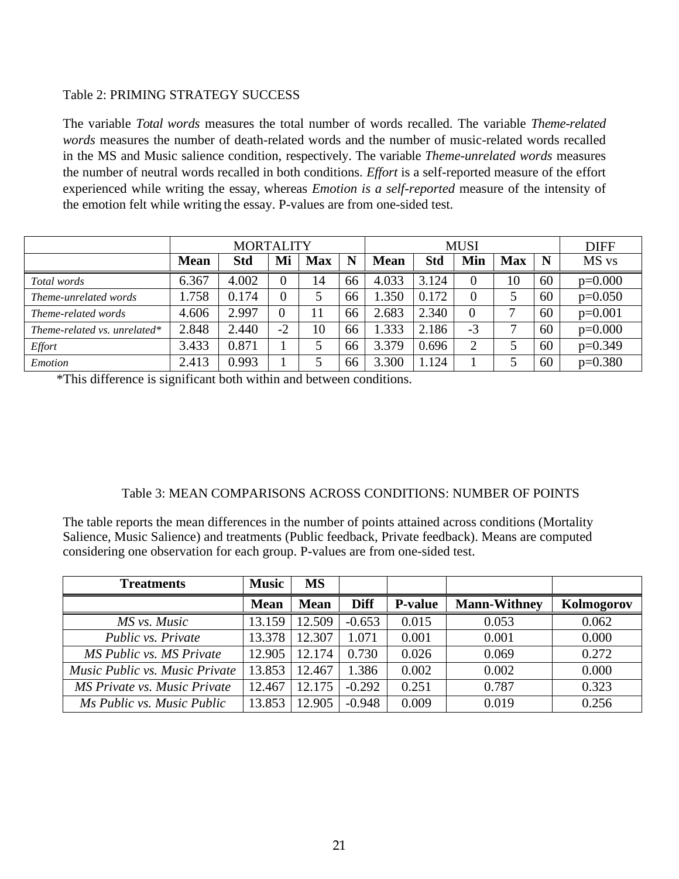# Table 2: PRIMING STRATEGY SUCCESS

The variable *Total words* measures the total number of words recalled. The variable *Theme-related words* measures the number of death-related words and the number of music-related words recalled in the MS and Music salience condition, respectively. The variable *Theme-unrelated words* measures the number of neutral words recalled in both conditions. *Effort* is a self-reported measure of the effort experienced while writing the essay, whereas *Emotion is a self-reported* measure of the intensity of the emotion felt while writing the essay. P-values are from one-sided test.

|                              |             | <b>MUSI</b> |                |            |    |             | <b>DIFF</b> |                |            |    |           |
|------------------------------|-------------|-------------|----------------|------------|----|-------------|-------------|----------------|------------|----|-----------|
|                              | <b>Mean</b> | Std         | Mi             | <b>Max</b> | N  | <b>Mean</b> | Std         | Min            | <b>Max</b> | N  | MS vs     |
| Total words                  | 6.367       | 4.002       | $\Omega$       | 14         | 66 | 4.033       | 3.124       | $\theta$       | 10         | 60 | $p=0.000$ |
| Theme-unrelated words        | 1.758       | 0.174       | $\overline{0}$ |            | 66 | 1.350       | 0.172       | $\overline{0}$ |            | 60 | $p=0.050$ |
| Theme-related words          | 4.606       | 2.997       |                |            | 66 | 2.683       | 2.340       | $\overline{0}$ | ⇁          | 60 | $p=0.001$ |
| Theme-related vs. unrelated* | 2.848       | 2.440       | $-2$           | 10         | 66 | 1.333       | 2.186       | $-3$           |            | 60 | $p=0.000$ |
| Effort                       | 3.433       | 0.871       |                |            | 66 | 3.379       | 0.696       | $\overline{2}$ |            | 60 | $p=0.349$ |
| Emotion                      | 2.413       | 0.993       |                |            | 66 | 3.300       | 1.124       |                |            | 60 | $p=0.380$ |

\*This difference is significant both within and between conditions.

# Table 3: MEAN COMPARISONS ACROSS CONDITIONS: NUMBER OF POINTS

The table reports the mean differences in the number of points attained across conditions (Mortality Salience, Music Salience) and treatments (Public feedback, Private feedback). Means are computed considering one observation for each group. P-values are from one-sided test.

| <b>Treatments</b>              | <b>Music</b> | <b>MS</b>   |             |                |                     |            |
|--------------------------------|--------------|-------------|-------------|----------------|---------------------|------------|
|                                | <b>Mean</b>  | <b>Mean</b> | <b>Diff</b> | <b>P-value</b> | <b>Mann-Withney</b> | Kolmogorov |
| MS vs. Music                   | 13.159       | 12.509      | $-0.653$    | 0.015          | 0.053               | 0.062      |
| Public vs. Private             | 13.378       | 12.307      | 1.071       | 0.001          | 0.001               | 0.000      |
| MS Public vs. MS Private       | 12.905       | 12.174      | 0.730       | 0.026          | 0.069               | 0.272      |
| Music Public vs. Music Private | 13.853       | 12.467      | 1.386       | 0.002          | 0.002               | 0.000      |
| MS Private vs. Music Private   | 12.467       | 12.175      | $-0.292$    | 0.251          | 0.787               | 0.323      |
| Ms Public vs. Music Public     | 13.853       | 12.905      | $-0.948$    | 0.009          | 0.019               | 0.256      |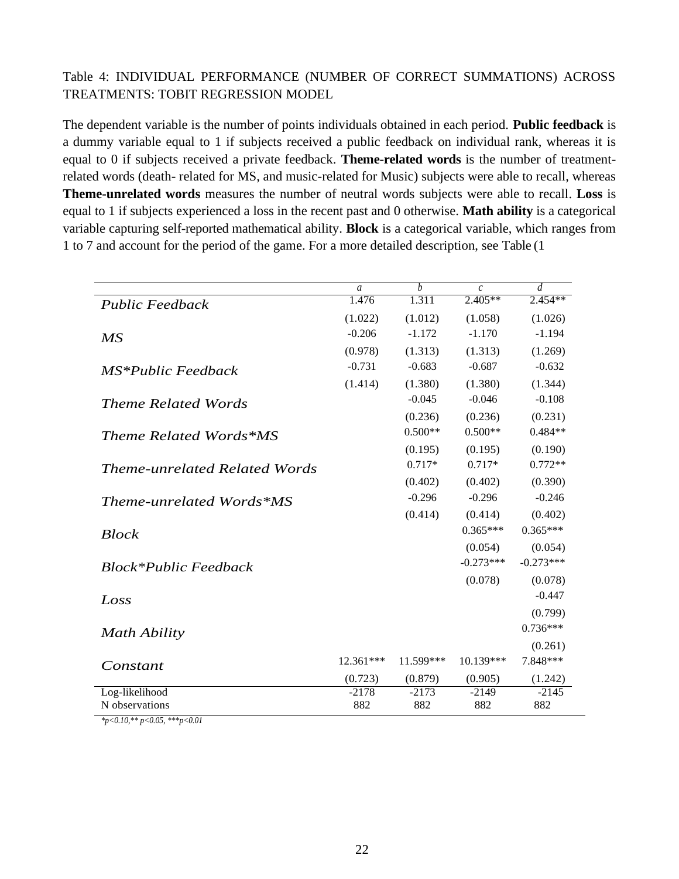# Table 4: INDIVIDUAL PERFORMANCE (NUMBER OF CORRECT SUMMATIONS) ACROSS TREATMENTS: TOBIT REGRESSION MODEL

The dependent variable is the number of points individuals obtained in each period. **Public feedback** is a dummy variable equal to 1 if subjects received a public feedback on individual rank, whereas it is equal to 0 if subjects received a private feedback. **Theme-related words** is the number of treatmentrelated words (death- related for MS, and music-related for Music) subjects were able to recall, whereas **Theme-unrelated words** measures the number of neutral words subjects were able to recall. **Loss** is equal to 1 if subjects experienced a loss in the recent past and 0 otherwise. **Math ability** is a categorical variable capturing self-reported mathematical ability. **Block** is a categorical variable, which ranges from 1 to 7 and account for the period of the game. For a more detailed description, see Table (1

|                                      | $\mathfrak{a}$ | $\boldsymbol{h}$ | $\mathcal{C}_{\mathcal{C}}$ | d           |
|--------------------------------------|----------------|------------------|-----------------------------|-------------|
| <b>Public Feedback</b>               | 1.476          | 1.311            | $2.405**$                   | $2.454**$   |
|                                      | (1.022)        | (1.012)          | (1.058)                     | (1.026)     |
| $\overline{MS}$                      | $-0.206$       | $-1.172$         | $-1.170$                    | $-1.194$    |
|                                      | (0.978)        | (1.313)          | (1.313)                     | (1.269)     |
| MS*Public Feedback                   | $-0.731$       | $-0.683$         | $-0.687$                    | $-0.632$    |
|                                      | (1.414)        | (1.380)          | (1.380)                     | (1.344)     |
| <b>Theme Related Words</b>           |                | $-0.045$         | $-0.046$                    | $-0.108$    |
|                                      |                | (0.236)          | (0.236)                     | (0.231)     |
| Theme Related Words*MS               |                | $0.500**$        | $0.500**$                   | $0.484**$   |
|                                      |                | (0.195)          | (0.195)                     | (0.190)     |
| <b>Theme-unrelated Related Words</b> |                | $0.717*$         | $0.717*$                    | $0.772**$   |
|                                      |                | (0.402)          | (0.402)                     | (0.390)     |
| Theme-unrelated Words*MS             |                | $-0.296$         | $-0.296$                    | $-0.246$    |
|                                      |                | (0.414)          | (0.414)                     | (0.402)     |
| <b>Block</b>                         |                |                  | $0.365***$                  | $0.365***$  |
|                                      |                |                  | (0.054)                     | (0.054)     |
| <b>Block*Public Feedback</b>         |                |                  | $-0.273***$                 | $-0.273***$ |
|                                      |                |                  | (0.078)                     | (0.078)     |
| Loss                                 |                |                  |                             | $-0.447$    |
|                                      |                |                  |                             | (0.799)     |
| Math Ability                         |                |                  |                             | $0.736***$  |
|                                      |                |                  |                             | (0.261)     |
| Constant                             | 12.361***      | 11.599***        | 10.139***                   | 7.848***    |
|                                      | (0.723)        | (0.879)          | (0.905)                     | (1.242)     |
| Log-likelihood                       | $-2178$        | $-2173$          | $-2149$                     | $-2145$     |
| N observations                       | 882            | 882              | 882                         | 882         |

*\*p<0.10,\*\* p<0.05, \*\*\*p<0.01*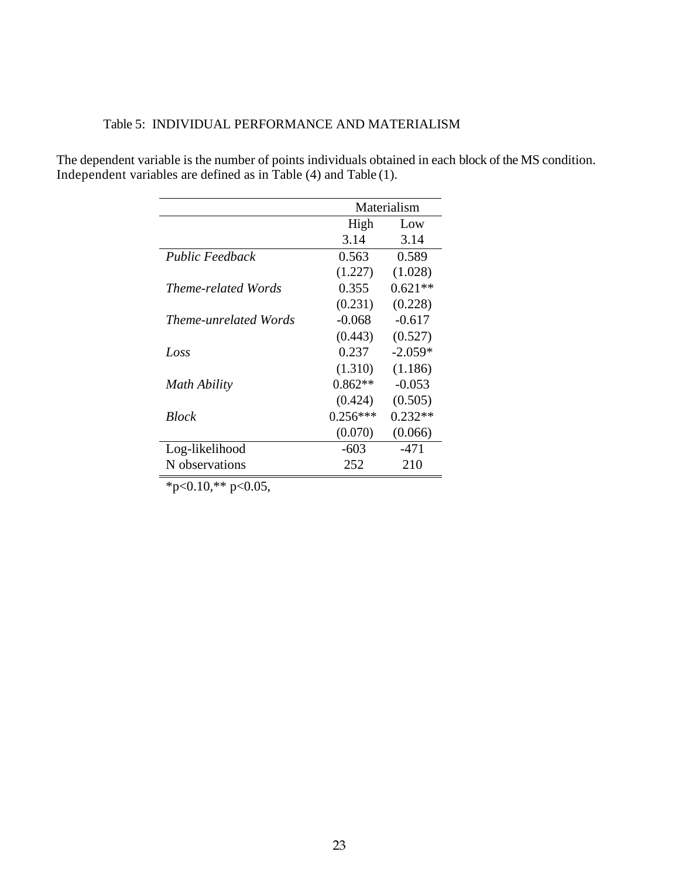|  | Table 5: INDIVIDUAL PERFORMANCE AND MATERIALISM |
|--|-------------------------------------------------|
|  |                                                 |

The dependent variable is the number of points individuals obtained in each block of the MS condition. Independent variables are defined as in Table (4) and Table (1).

|                        |            | Materialism |
|------------------------|------------|-------------|
|                        | High       | Low         |
|                        | 3.14       | 3.14        |
| <b>Public Feedback</b> | 0.563      | 0.589       |
|                        | (1.227)    | (1.028)     |
| Theme-related Words    | 0.355      | $0.621**$   |
|                        | (0.231)    | (0.228)     |
| Theme-unrelated Words  | $-0.068$   | $-0.617$    |
|                        | (0.443)    | (0.527)     |
| Loss                   | 0.237      | $-2.059*$   |
|                        | (1.310)    | (1.186)     |
| Math Ability           | $0.862**$  | $-0.053$    |
|                        | (0.424)    | (0.505)     |
| <b>Block</b>           | $0.256***$ | $0.232**$   |
|                        | (0.070)    | (0.066)     |
| Log-likelihood         | $-603$     | $-471$      |
| N observations         | 252        | 210         |

 $*p<0.10,*p<0.05$ ,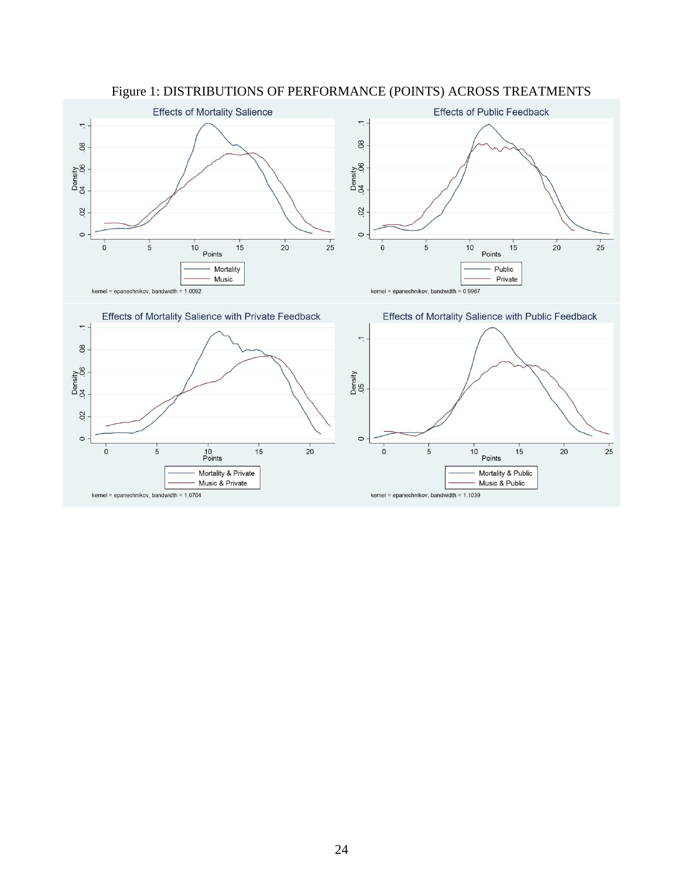

Figure 1: DISTRIBUTIONS OF PERFORMANCE (POINTS) ACROSS TREATMENTS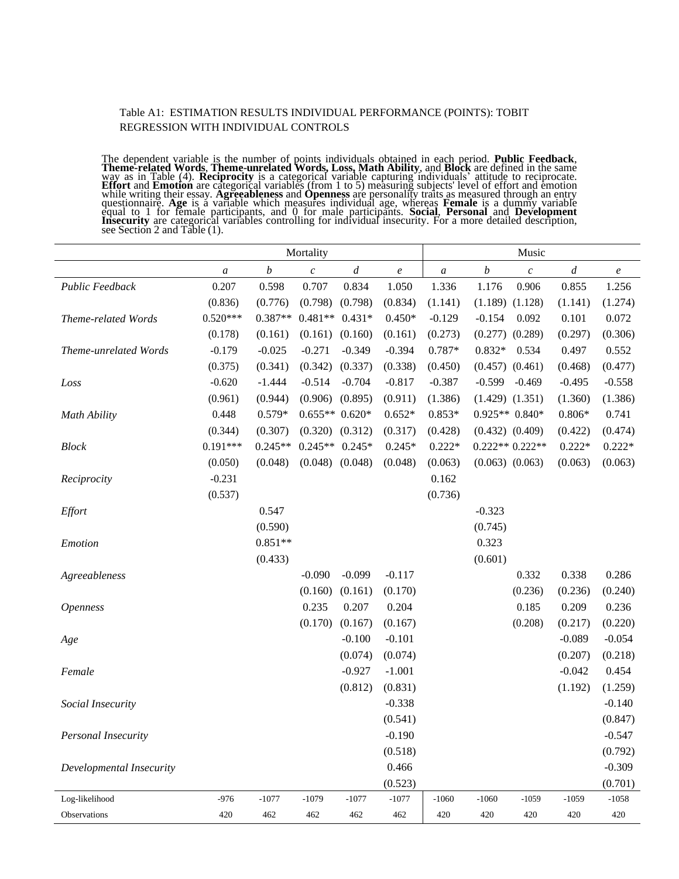#### Table A1: ESTIMATION RESULTS INDIVIDUAL PERFORMANCE (POINTS): TOBIT REGRESSION WITH INDIVIDUAL CONTROLS

The dependent variable is the number of points individuals obtained in each period. **Public Feedback**, Theme-related Words, Theme-unrelated Words, Loss, Math Ability, and Block are defined in the same way as in Table (4). **Reciprocity** is a categorical variable capturing individuals' attitude to reciprocate. Effort and Emotion are categorical variables (from 1 to 5) measuring subjects' level of effort and emotion<br>while writing their essay. Agreeableness and Openness are personality traits as measured through an entry questionnaire. **Age** is a variable which measures individual age, whereas **Female** is a dummy variable equal to 1 for female participants, and 0 for male participants. **Social, Personal** and Development Insecurity are categorical variables controlling for individual insecurity. For a more detailed description, see Section 2 and Table (1).

|                          | Mortality        |                  |                  |                  |                  | Music            |                  |                     |                  |                  |  |
|--------------------------|------------------|------------------|------------------|------------------|------------------|------------------|------------------|---------------------|------------------|------------------|--|
|                          | $\boldsymbol{a}$ | $\boldsymbol{b}$ | $\boldsymbol{c}$ | $\boldsymbol{d}$ | $\boldsymbol{e}$ | $\boldsymbol{a}$ | $\boldsymbol{b}$ | $\boldsymbol{c}$    | $\boldsymbol{d}$ | $\boldsymbol{e}$ |  |
| Public Feedback          | 0.207            | 0.598            | 0.707            | 0.834            | 1.050            | 1.336            | 1.176            | 0.906               | 0.855            | 1.256            |  |
|                          | (0.836)          | (0.776)          | (0.798)          | (0.798)          | (0.834)          | (1.141)          | (1.189)          | (1.128)             | (1.141)          | (1.274)          |  |
| Theme-related Words      | $0.520***$       | $0.387**$        | $0.481**$        | $0.431*$         | $0.450*$         | $-0.129$         | $-0.154$         | 0.092               | 0.101            | 0.072            |  |
|                          | (0.178)          | (0.161)          | (0.161)          | (0.160)          | (0.161)          | (0.273)          | (0.277)          | (0.289)             | (0.297)          | (0.306)          |  |
| Theme-unrelated Words    | $-0.179$         | $-0.025$         | $-0.271$         | $-0.349$         | $-0.394$         | 0.787*           | $0.832*$         | 0.534               | 0.497            | 0.552            |  |
|                          | (0.375)          | (0.341)          | (0.342)          | (0.337)          | (0.338)          | (0.450)          | (0.457)          | (0.461)             | (0.468)          | (0.477)          |  |
| Loss                     | $-0.620$         | $-1.444$         | $-0.514$         | $-0.704$         | $-0.817$         | $-0.387$         | $-0.599$         | $-0.469$            | $-0.495$         | $-0.558$         |  |
|                          | (0.961)          | (0.944)          | (0.906)          | (0.895)          | (0.911)          | (1.386)          |                  | $(1.429)$ $(1.351)$ | (1.360)          | (1.386)          |  |
| <b>Math Ability</b>      | 0.448            | $0.579*$         | $0.655**0.620*$  |                  | $0.652*$         | $0.853*$         |                  | $0.925**0.840*$     | $0.806*$         | 0.741            |  |
|                          | (0.344)          | (0.307)          | (0.320)          | (0.312)          | (0.317)          | (0.428)          |                  | $(0.432)$ $(0.409)$ | (0.422)          | (0.474)          |  |
| <b>Block</b>             | $0.191***$       | $0.245**$        | $0.245**$        | $0.245*$         | $0.245*$         | $0.222*$         |                  | $0.222**0.222**$    | $0.222*$         | $0.222*$         |  |
|                          | (0.050)          | (0.048)          | (0.048)          | (0.048)          | (0.048)          | (0.063)          |                  | $(0.063)$ $(0.063)$ | (0.063)          | (0.063)          |  |
| Reciprocity              | $-0.231$         |                  |                  |                  |                  | 0.162            |                  |                     |                  |                  |  |
|                          | (0.537)          |                  |                  |                  |                  | (0.736)          |                  |                     |                  |                  |  |
| Effort                   |                  | 0.547            |                  |                  |                  |                  | $-0.323$         |                     |                  |                  |  |
|                          |                  | (0.590)          |                  |                  |                  |                  | (0.745)          |                     |                  |                  |  |
| Emotion                  |                  | $0.851**$        |                  |                  |                  |                  | 0.323            |                     |                  |                  |  |
|                          |                  | (0.433)          |                  |                  |                  |                  | (0.601)          |                     |                  |                  |  |
| Agreeableness            |                  |                  | $-0.090$         | $-0.099$         | $-0.117$         |                  |                  | 0.332               | 0.338            | 0.286            |  |
|                          |                  |                  | (0.160)          | (0.161)          | (0.170)          |                  |                  | (0.236)             | (0.236)          | (0.240)          |  |
| <i><b>Openness</b></i>   |                  |                  | 0.235            | 0.207            | 0.204            |                  |                  | 0.185               | 0.209            | 0.236            |  |
|                          |                  |                  | (0.170)          | (0.167)          | (0.167)          |                  |                  | (0.208)             | (0.217)          | (0.220)          |  |
| Age                      |                  |                  |                  | $-0.100$         | $-0.101$         |                  |                  |                     | $-0.089$         | $-0.054$         |  |
|                          |                  |                  |                  | (0.074)          | (0.074)          |                  |                  |                     | (0.207)          | (0.218)          |  |
| Female                   |                  |                  |                  | $-0.927$         | $-1.001$         |                  |                  |                     | $-0.042$         | 0.454            |  |
|                          |                  |                  |                  | (0.812)          | (0.831)          |                  |                  |                     | (1.192)          | (1.259)          |  |
| Social Insecurity        |                  |                  |                  |                  | $-0.338$         |                  |                  |                     |                  | $-0.140$         |  |
|                          |                  |                  |                  |                  | (0.541)          |                  |                  |                     |                  | (0.847)          |  |
| Personal Insecurity      |                  |                  |                  |                  | $-0.190$         |                  |                  |                     |                  | $-0.547$         |  |
|                          |                  |                  |                  |                  | (0.518)          |                  |                  |                     |                  | (0.792)          |  |
| Developmental Insecurity |                  |                  |                  |                  | 0.466            |                  |                  |                     |                  | $-0.309$         |  |
|                          |                  |                  |                  |                  | (0.523)          |                  |                  |                     |                  | (0.701)          |  |
| Log-likelihood           | $-976$           | $-1077$          | $-1079$          | $-1077$          | $-1077$          | $-1060$          | $-1060$          | $-1059$             | $-1059$          | $-1058$          |  |
| Observations             | 420              | 462              | 462              | 462              | 462              | 420              | 420              | $420\,$             | 420              | 420              |  |